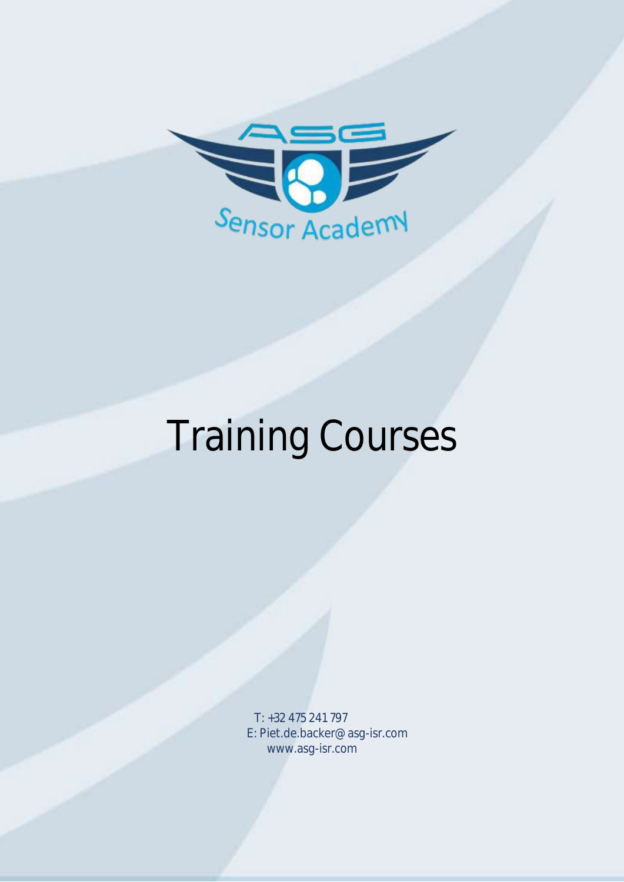

# Training Courses

T: +32 475 241 797 E: Piet.de.backer@asg-isr.com www.asg-isr.com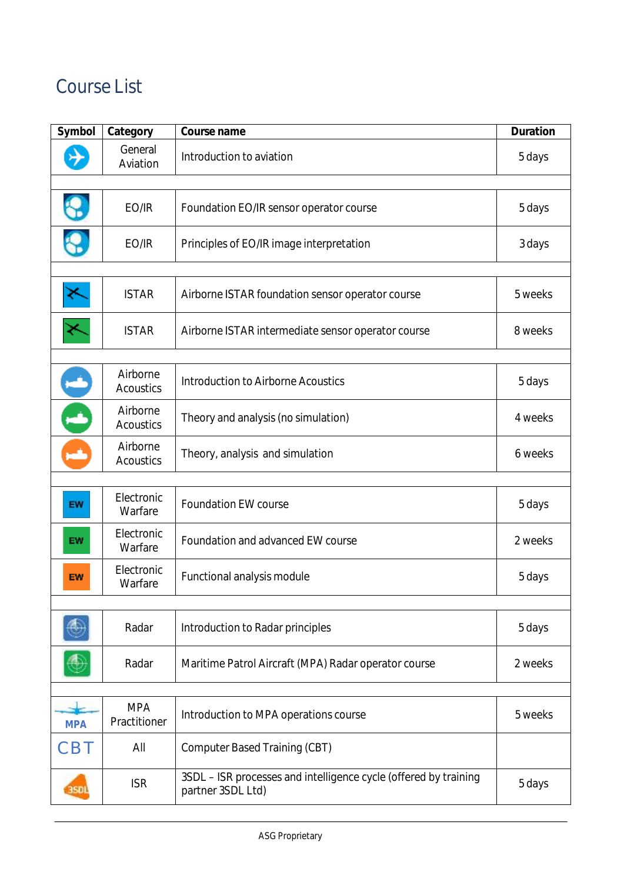# Course List

| Symbol     | Category                     | Course name                                                                           | <b>Duration</b> |
|------------|------------------------------|---------------------------------------------------------------------------------------|-----------------|
|            | General<br>Aviation          | Introduction to aviation                                                              | 5 days          |
|            |                              |                                                                                       |                 |
|            | EO/IR                        | Foundation EO/IR sensor operator course                                               | 5 days          |
|            | EO/IR                        | Principles of EO/IR image interpretation                                              | 3 days          |
|            | <b>ISTAR</b>                 | Airborne ISTAR foundation sensor operator course                                      | 5 weeks         |
|            | <b>ISTAR</b>                 | Airborne ISTAR intermediate sensor operator course                                    | 8 weeks         |
|            |                              |                                                                                       |                 |
|            | Airborne<br><b>Acoustics</b> | <b>Introduction to Airborne Acoustics</b>                                             | 5 days          |
|            | Airborne<br><b>Acoustics</b> | Theory and analysis (no simulation)                                                   | 4 weeks         |
|            | Airborne<br><b>Acoustics</b> | Theory, analysis and simulation                                                       | 6 weeks         |
|            |                              |                                                                                       |                 |
| <b>EW</b>  | Electronic<br>Warfare        | <b>Foundation EW course</b>                                                           | 5 days          |
| <b>EW</b>  | Electronic<br>Warfare        | Foundation and advanced EW course                                                     | 2 weeks         |
| EW         | Electronic<br>Warfare        | <b>Functional analysis module</b>                                                     | 5 days          |
|            |                              |                                                                                       |                 |
|            | Radar                        | Introduction to Radar principles                                                      | 5 days          |
|            | Radar                        | Maritime Patrol Aircraft (MPA) Radar operator course                                  | 2 weeks         |
|            |                              |                                                                                       |                 |
| <b>MPA</b> | <b>MPA</b><br>Practitioner   | Introduction to MPA operations course                                                 | 5 weeks         |
| <b>CBT</b> | All                          | <b>Computer Based Training (CBT)</b>                                                  |                 |
| 3SCI       | <b>ISR</b>                   | 3SDL - ISR processes and intelligence cycle (offered by training<br>partner 3SDL Ltd) | 5 days          |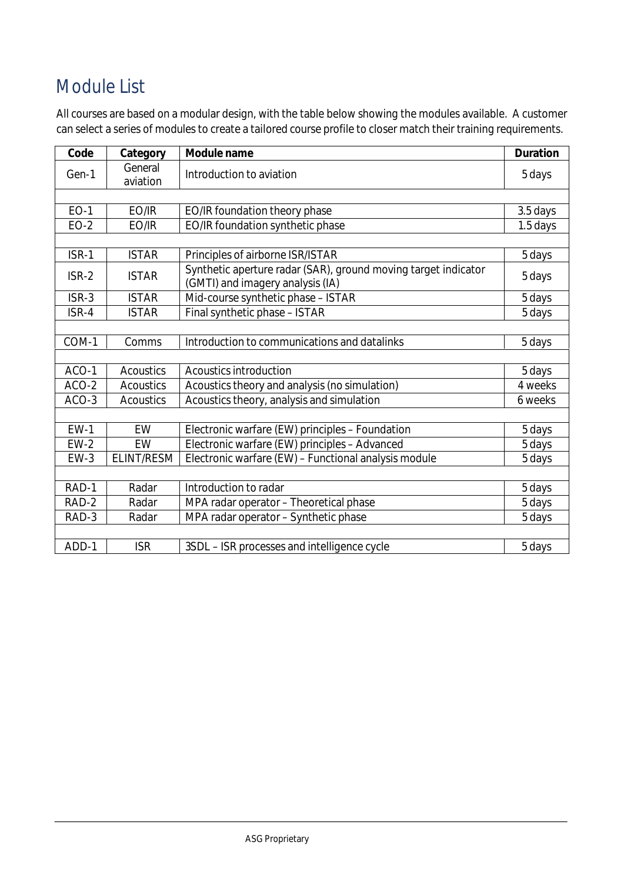# Module List

All courses are based on a modular design, with the table below showing the modules available. A customer can select a series of modules to create a tailored course profile to closer match their training requirements.

| Code        | Category            | Module name                                                                                        | <b>Duration</b> |
|-------------|---------------------|----------------------------------------------------------------------------------------------------|-----------------|
| Gen-1       | General<br>aviation | Introduction to aviation                                                                           | 5 days          |
|             |                     |                                                                                                    |                 |
| <b>EO-1</b> | EO/IR               | EO/IR foundation theory phase                                                                      | 3.5 days        |
| $EO-2$      | EO/IR               | EO/IR foundation synthetic phase                                                                   | 1.5 days        |
|             |                     |                                                                                                    |                 |
| ISR-1       | <b>ISTAR</b>        | Principles of airborne ISR/ISTAR                                                                   | 5 days          |
| $ISR-2$     | <b>ISTAR</b>        | Synthetic aperture radar (SAR), ground moving target indicator<br>(GMTI) and imagery analysis (IA) | 5 days          |
| ISR-3       | <b>ISTAR</b>        | Mid-course synthetic phase - ISTAR                                                                 | 5 days          |
| ISR-4       | <b>ISTAR</b>        | Final synthetic phase - ISTAR                                                                      | 5 days          |
|             |                     |                                                                                                    |                 |
| COM-1       | Comms               | Introduction to communications and datalinks                                                       | 5 days          |
|             |                     |                                                                                                    |                 |
| ACO-1       | <b>Acoustics</b>    | <b>Acoustics introduction</b>                                                                      | 5 days          |
| ACO-2       | <b>Acoustics</b>    | Acoustics theory and analysis (no simulation)                                                      | 4 weeks         |
| $ACO-3$     | <b>Acoustics</b>    | Acoustics theory, analysis and simulation                                                          | 6 weeks         |
|             |                     |                                                                                                    |                 |
| $EW-1$      | EW                  | Electronic warfare (EW) principles - Foundation                                                    | 5 days          |
| $EW-2$      | EW                  | Electronic warfare (EW) principles - Advanced                                                      | 5 days          |
| $EW-3$      | <b>ELINT/RESM</b>   | Electronic warfare (EW) - Functional analysis module                                               | 5 days          |
|             |                     |                                                                                                    |                 |
| RAD-1       | Radar               | Introduction to radar                                                                              | 5 days          |
| RAD-2       | Radar               | MPA radar operator - Theoretical phase                                                             | 5 days          |
| RAD-3       | Radar               | MPA radar operator - Synthetic phase                                                               | 5 days          |
|             |                     |                                                                                                    |                 |
| ADD-1       | <b>ISR</b>          | 3SDL - ISR processes and intelligence cycle                                                        | 5 days          |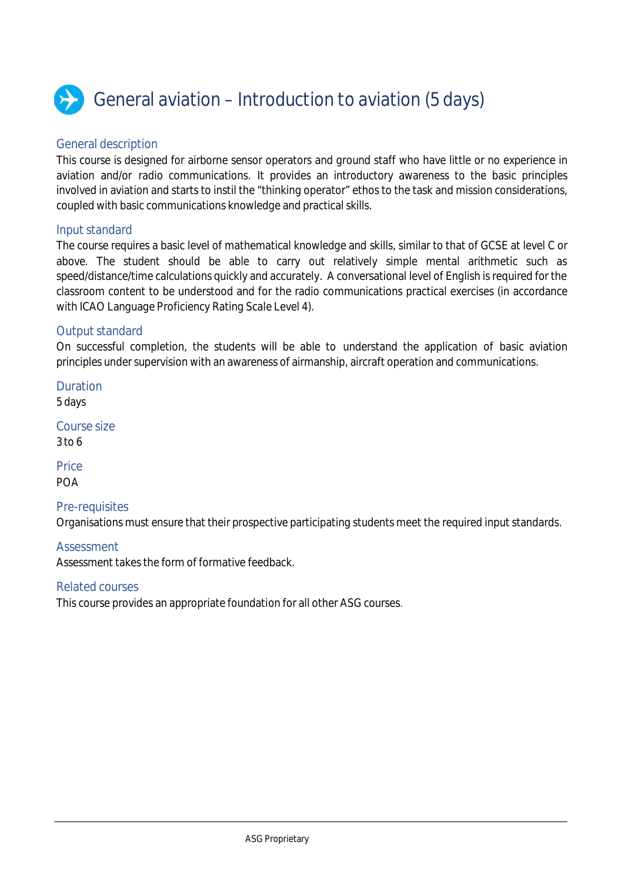

# General aviation – Introduction to aviation (5 days)

### General description

This course is designed for airborne sensor operators and ground staff who have little or no experience in aviation and/or radio communications. It provides an introductory awareness to the basic principles involved in aviation and starts to instil the "thinking operator" ethos to the task and mission considerations, coupled with basic communications knowledge and practical skills.

### Input standard

The course requires a basic level of mathematical knowledge and skills, similar to that of GCSE at level C or above. The student should be able to carry out relatively simple mental arithmetic such as speed/distance/time calculations quickly and accurately. A conversational level of English is required for the classroom content to be understood and for the radio communications practical exercises (in accordance with ICAO Language Proficiency Rating Scale Level 4).

### Output standard

On successful completion, the students will be able to understand the application of basic aviation principles under supervision with an awareness of airmanship, aircraft operation and communications.

Duration 5 days Course size 3 to 6

**Price** POA

### Pre-requisites

Organisations must ensure that their prospective participating students meet the required input standards.

### Assessment

Assessment takes the form of formative feedback.

### Related courses

This course provides an appropriate foundation for all other ASG courses.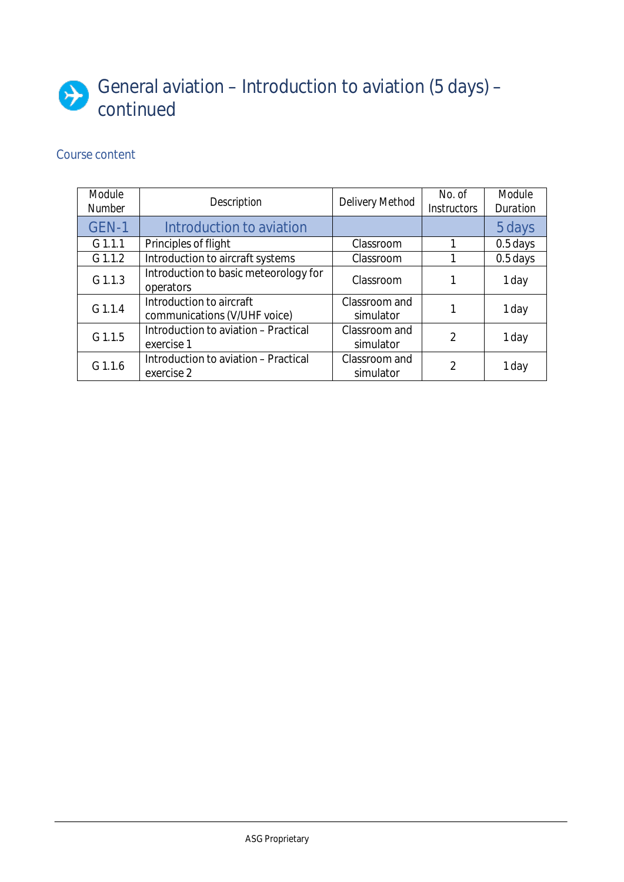# General aviation – Introduction to aviation (5 days) – continued

| <b>Module</b><br><b>Number</b> | <b>Description</b>                                       | <b>Delivery Method</b>     | No. of<br><b>Instructors</b> | Module<br><b>Duration</b> |
|--------------------------------|----------------------------------------------------------|----------------------------|------------------------------|---------------------------|
| GEN-1                          | Introduction to aviation                                 |                            |                              | 5 days                    |
| $G$ 1.1.1                      | Principles of flight                                     | Classroom                  |                              | 0.5 days                  |
| $G$ 1.1.2                      | Introduction to aircraft systems                         | Classroom                  |                              | 0.5 days                  |
| $G$ 1.1.3                      | Introduction to basic meteorology for<br>operators       | Classroom                  |                              | 1 day                     |
| $G$ 1.1.4                      | Introduction to aircraft<br>communications (V/UHF voice) | Classroom and<br>simulator |                              | 1 day                     |
| G 1.1.5                        | Introduction to aviation - Practical<br>exercise 1       | Classroom and<br>simulator | $\mathfrak{p}$               | 1 day                     |
| $G$ 1.1.6                      | Introduction to aviation - Practical<br>exercise 2       | Classroom and<br>simulator | 2                            | 1 day                     |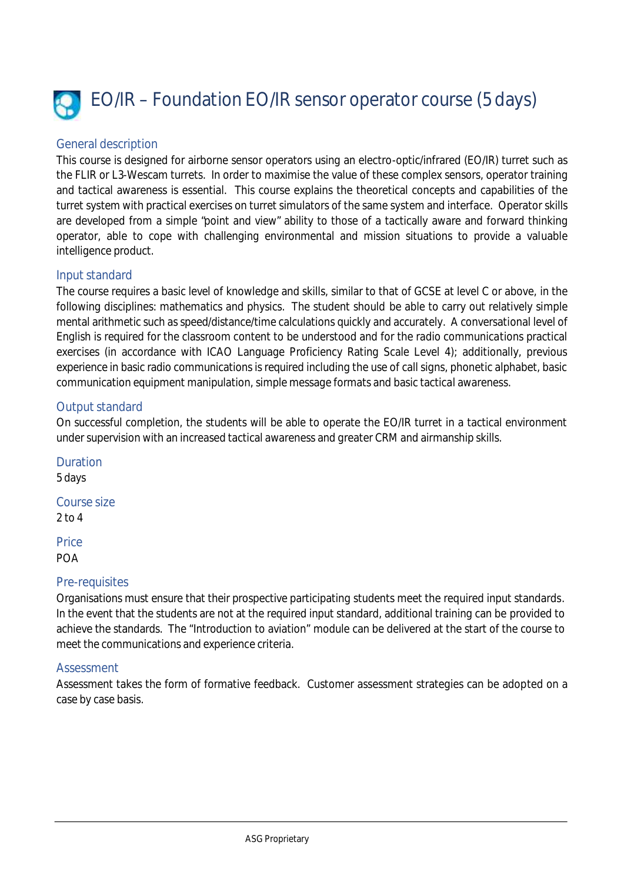

# EO/IR – Foundation EO/IR sensor operator course (5 days)

# General description

This course is designed for airborne sensor operators using an electro-optic/infrared (EO/IR) turret such as the FLIR or L3-Wescam turrets. In order to maximise the value of these complex sensors, operator training and tactical awareness is essential. This course explains the theoretical concepts and capabilities of the turret system with practical exercises on turret simulators of the same system and interface. Operator skills are developed from a simple "point and view" ability to those of a tactically aware and forward thinking operator, able to cope with challenging environmental and mission situations to provide a valuable intelligence product.

### Input standard

The course requires a basic level of knowledge and skills, similar to that of GCSE at level C or above, in the following disciplines: mathematics and physics. The student should be able to carry out relatively simple mental arithmetic such as speed/distance/time calculations quickly and accurately. A conversational level of English is required for the classroom content to be understood and for the radio communications practical exercises (in accordance with ICAO Language Proficiency Rating Scale Level 4); additionally, previous experience in basic radio communications is required including the use of call signs, phonetic alphabet, basic communication equipment manipulation, simple message formats and basic tactical awareness.

# Output standard

On successful completion, the students will be able to operate the EO/IR turret in a tactical environment under supervision with an increased tactical awareness and greater CRM and airmanship skills.

Duration 5 days Course size 2 to 4 **Price** POA

# Pre-requisites

Organisations must ensure that their prospective participating students meet the required input standards. In the event that the students are not at the required input standard, additional training can be provided to achieve the standards. The "Introduction to aviation" module can be delivered at the start of the course to meet the communications and experience criteria.

### **Assessment**

Assessment takes the form of formative feedback. Customer assessment strategies can be adopted on a case by case basis.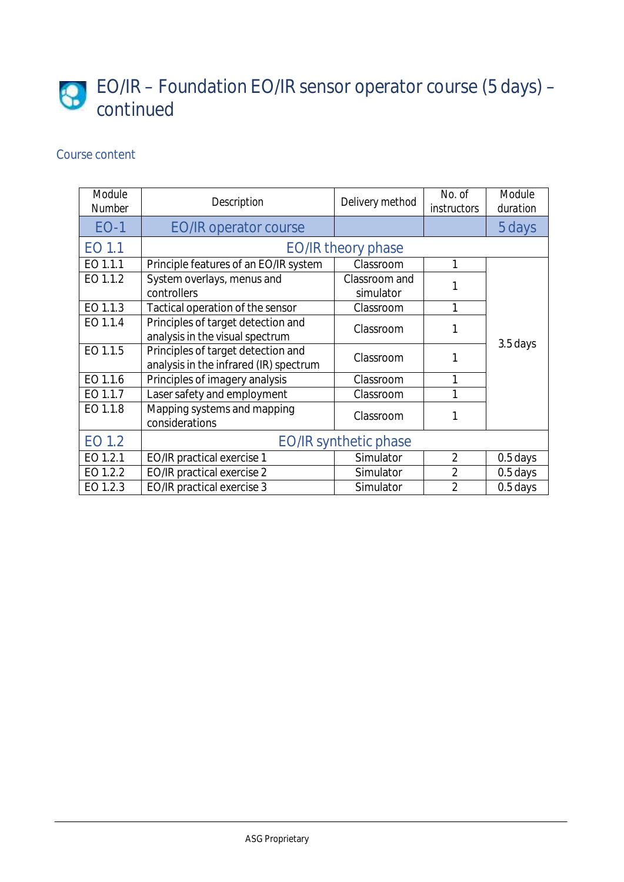# EO/IR – Foundation EO/IR sensor operator course (5 days) – continued

| Module<br><b>Number</b> | <b>Description</b>                     | Delivery method              | No. of<br><i>instructors</i> | <b>Module</b><br>duration |
|-------------------------|----------------------------------------|------------------------------|------------------------------|---------------------------|
| <b>EO-1</b>             | <b>EO/IR operator course</b>           |                              |                              | 5 days                    |
| EO 1.1                  |                                        | <b>EO/IR theory phase</b>    |                              |                           |
| EO 1.1.1                | Principle features of an EO/IR system  | Classroom                    | 1                            |                           |
| EO 1.1.2                | System overlays, menus and             | Classroom and                |                              |                           |
|                         | controllers                            | simulator                    |                              |                           |
| EO 1.1.3                | Tactical operation of the sensor       | Classroom                    | 1                            |                           |
| EO 1.1.4                | Principles of target detection and     | Classroom                    |                              |                           |
|                         | analysis in the visual spectrum        |                              |                              | 3.5 days                  |
| EO 1.1.5                | Principles of target detection and     | Classroom                    | 1                            |                           |
|                         | analysis in the infrared (IR) spectrum |                              |                              |                           |
| EO 1.1.6                | Principles of imagery analysis         | Classroom                    | 1                            |                           |
| EO 1.1.7                | Laser safety and employment            | Classroom                    | 1                            |                           |
| EO 1.1.8                | Mapping systems and mapping            | Classroom                    |                              |                           |
|                         | considerations                         |                              |                              |                           |
| EO 1.2                  |                                        | <b>EO/IR synthetic phase</b> |                              |                           |
| EO 1.2.1                | EO/IR practical exercise 1             | Simulator                    | $\overline{2}$               | 0.5 days                  |
| EO 1.2.2                | EO/IR practical exercise 2             | Simulator                    | $\overline{2}$               | 0.5 days                  |
| EO 1.2.3                | <b>EO/IR practical exercise 3</b>      | Simulator                    | 2                            | $0.5$ days                |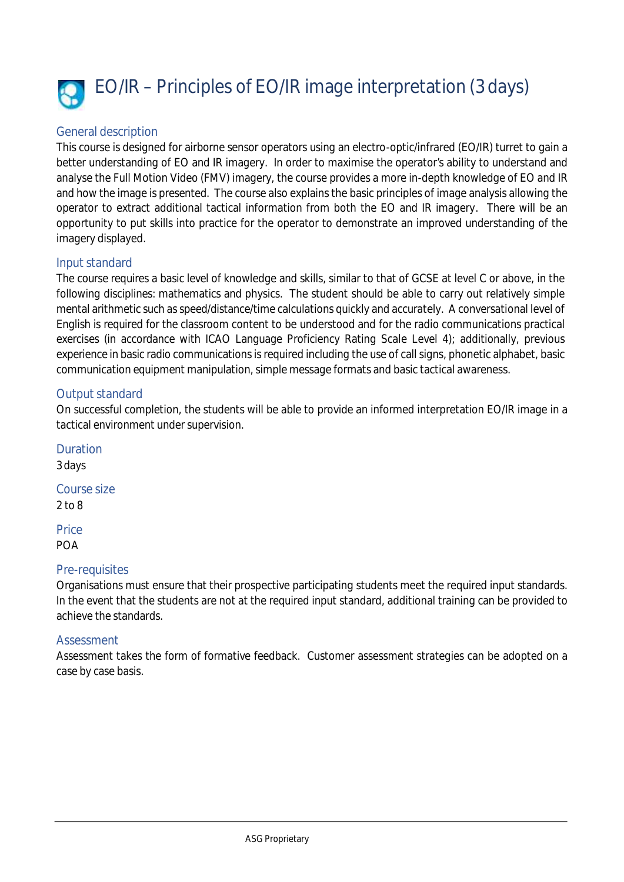

### General description

This course is designed for airborne sensor operators using an electro-optic/infrared (EO/IR) turret to gain a better understanding of EO and IR imagery. In order to maximise the operator's ability to understand and analyse the Full Motion Video (FMV) imagery, the course provides a more in-depth knowledge of EO and IR and how the image is presented. The course also explains the basic principles of image analysis allowing the operator to extract additional tactical information from both the EO and IR imagery. There will be an opportunity to put skills into practice for the operator to demonstrate an improved understanding of the imagery displayed.

### Input standard

The course requires a basic level of knowledge and skills, similar to that of GCSE at level C or above, in the following disciplines: mathematics and physics. The student should be able to carry out relatively simple mental arithmetic such as speed/distance/time calculations quickly and accurately. A conversational level of English is required for the classroom content to be understood and for the radio communications practical exercises (in accordance with ICAO Language Proficiency Rating Scale Level 4); additionally, previous experience in basic radio communications is required including the use of call signs, phonetic alphabet, basic communication equipment manipulation, simple message formats and basic tactical awareness.

# Output standard

On successful completion, the students will be able to provide an informed interpretation EO/IR image in a tactical environment under supervision.

Duration 3 days Course size 2 to 8

**Price** POA

### Pre-requisites

Organisations must ensure that their prospective participating students meet the required input standards. In the event that the students are not at the required input standard, additional training can be provided to achieve the standards.

### Assessment

Assessment takes the form of formative feedback. Customer assessment strategies can be adopted on a case by case basis.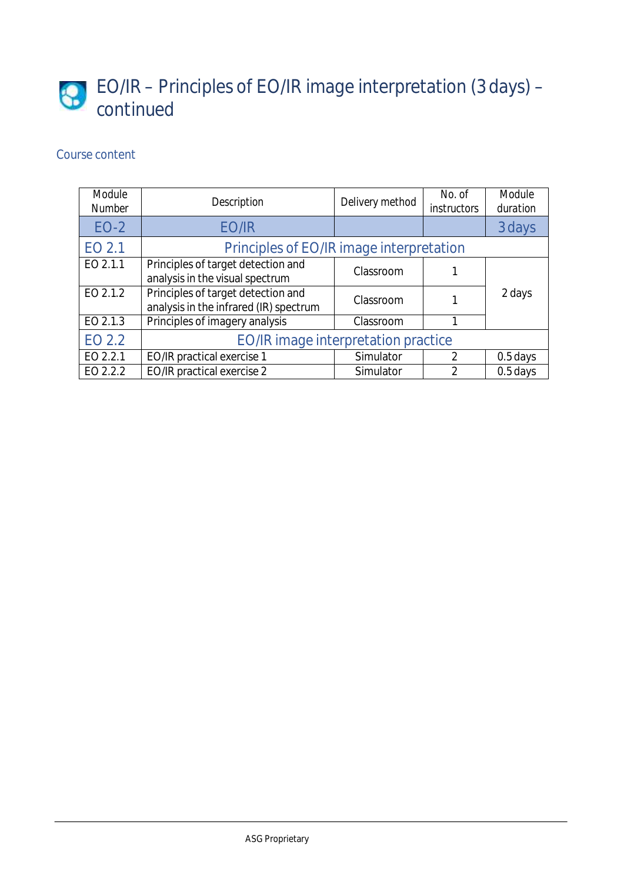# EO/IR – Principles of EO/IR image interpretation (3 days) – continued

| <b>Module</b><br><b>Number</b> | <b>Description</b>                                                           | Delivery method | No. of<br><i>instructors</i> | Module<br>duration |
|--------------------------------|------------------------------------------------------------------------------|-----------------|------------------------------|--------------------|
| $EO-2$                         | EO/IR                                                                        |                 |                              | 3 days             |
| EO 2.1                         | Principles of EO/IR image interpretation                                     |                 |                              |                    |
| EO 2.1.1                       | Principles of target detection and<br>analysis in the visual spectrum        | Classroom       |                              |                    |
| EO 2.1.2                       | Principles of target detection and<br>analysis in the infrared (IR) spectrum | Classroom       |                              | 2 days             |
| EO 2.1.3                       | Principles of imagery analysis                                               | Classroom       |                              |                    |
| EO 2.2                         | <b>EO/IR image interpretation practice</b>                                   |                 |                              |                    |
| EO 2.2.1                       | EO/IR practical exercise 1                                                   | Simulator       | $\mathfrak{D}$               | $0.5$ days         |
| EO 2.2.2                       | EO/IR practical exercise 2                                                   | Simulator       | $\mathfrak{D}$               | $0.5$ days         |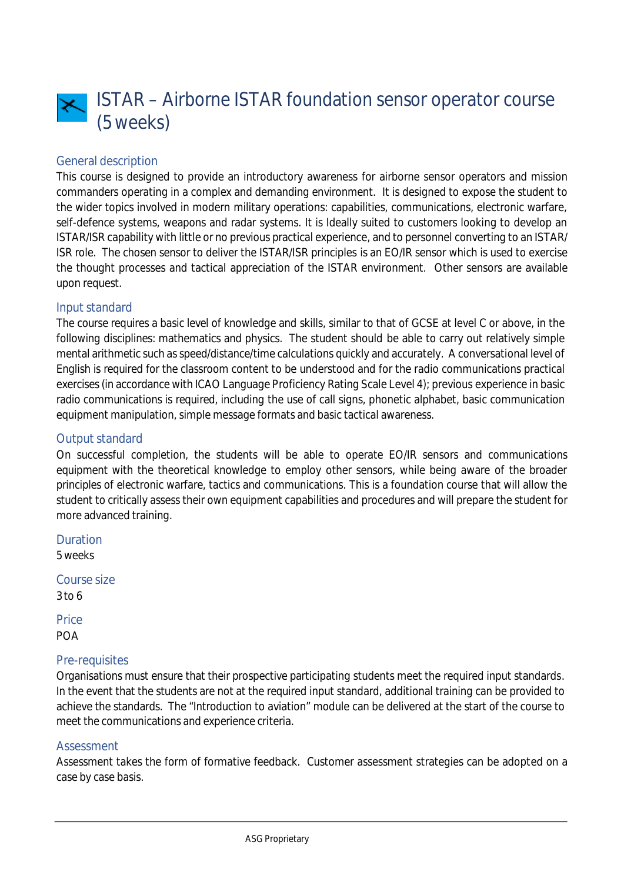

# General description

This course is designed to provide an introductory awareness for airborne sensor operators and mission commanders operating in a complex and demanding environment. It is designed to expose the student to the wider topics involved in modern military operations: capabilities, communications, electronic warfare, self-defence systems, weapons and radar systems. It is Ideally suited to customers looking to develop an ISTAR/ISR capability with little or no previous practical experience, and to personnel converting to an ISTAR/ ISR role. The chosen sensor to deliver the ISTAR/ISR principles is an EO/IR sensor which is used to exercise the thought processes and tactical appreciation of the ISTAR environment. Other sensors are available upon request.

#### Input standard

The course requires a basic level of knowledge and skills, similar to that of GCSE at level C or above, in the following disciplines: mathematics and physics. The student should be able to carry out relatively simple mental arithmetic such as speed/distance/time calculations quickly and accurately. A conversational level of English is required for the classroom content to be understood and for the radio communications practical exercises (in accordance with ICAO Language Proficiency Rating Scale Level 4); previous experience in basic radio communications is required, including the use of call signs, phonetic alphabet, basic communication equipment manipulation, simple message formats and basic tactical awareness.

#### Output standard

On successful completion, the students will be able to operate EO/IR sensors and communications equipment with the theoretical knowledge to employ other sensors, while being aware of the broader principles of electronic warfare, tactics and communications. This is a foundation course that will allow the student to critically assess their own equipment capabilities and procedures and will prepare the student for more advanced training.

Duration 5 weeks

Course size 3 to 6

**Price** POA

### Pre-requisites

Organisations must ensure that their prospective participating students meet the required input standards. In the event that the students are not at the required input standard, additional training can be provided to achieve the standards. The "Introduction to aviation" module can be delivered at the start of the course to meet the communications and experience criteria.

#### Assessment

Assessment takes the form of formative feedback. Customer assessment strategies can be adopted on a case by case basis.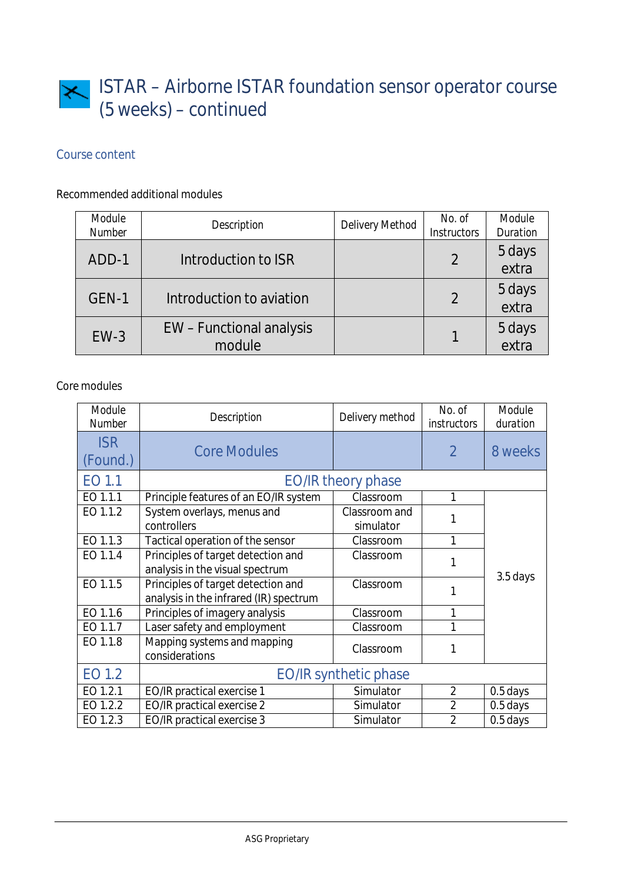# ISTAR – Airborne ISTAR foundation sensor operator course (5 weeks) – continued

# Course content

# Recommended additional modules

| Module<br><b>Number</b> | <b>Description</b>                 | <b>Delivery Method</b> | No. of<br><b>Instructors</b> | <b>Module</b><br><b>Duration</b> |
|-------------------------|------------------------------------|------------------------|------------------------------|----------------------------------|
| ADD-1                   | Introduction to ISR                |                        | $\overline{2}$               | 5 days<br>extra                  |
| GEN-1                   | Introduction to aviation           |                        | $\overline{2}$               | 5 days<br>extra                  |
| $EW-3$                  | EW - Functional analysis<br>module |                        |                              | 5 days<br>extra                  |

# Core modules

| Module<br><b>Number</b> | <b>Description</b>                                                           | Delivery method            | No. of<br><i>instructors</i> | Module<br>duration |
|-------------------------|------------------------------------------------------------------------------|----------------------------|------------------------------|--------------------|
| <b>ISR</b><br>(Found.)  | <b>Core Modules</b>                                                          |                            | $\overline{2}$               | 8 weeks            |
| EO 1.1                  |                                                                              | <b>EO/IR theory phase</b>  |                              |                    |
| EO 1.1.1                | Principle features of an EO/IR system                                        | Classroom                  | 1                            |                    |
| EO 1.1.2                | System overlays, menus and<br>controllers                                    | Classroom and<br>simulator |                              |                    |
| EO 1.1.3                | Tactical operation of the sensor                                             | Classroom                  | 1                            |                    |
| EO 1.1.4                | Principles of target detection and<br>analysis in the visual spectrum        | Classroom                  |                              |                    |
| EO 1.1.5                | Principles of target detection and<br>analysis in the infrared (IR) spectrum | Classroom                  |                              | 3.5 days           |
| EO 1.1.6                | Principles of imagery analysis                                               | Classroom                  | 1                            |                    |
| EO 1.1.7                | Laser safety and employment                                                  | Classroom                  |                              |                    |
| EO 1.1.8                | Mapping systems and mapping<br>considerations                                | Classroom                  | 1                            |                    |
| EO 1.2                  | <b>EO/IR synthetic phase</b>                                                 |                            |                              |                    |
| EO 1.2.1                | EO/IR practical exercise 1                                                   | Simulator                  | $\overline{2}$               | 0.5 days           |
| EO 1.2.2                | <b>EO/IR practical exercise 2</b>                                            | Simulator                  | $\overline{2}$               | 0.5 days           |
| EO 1.2.3                | <b>EO/IR practical exercise 3</b>                                            | Simulator                  | $\overline{2}$               | 0.5 days           |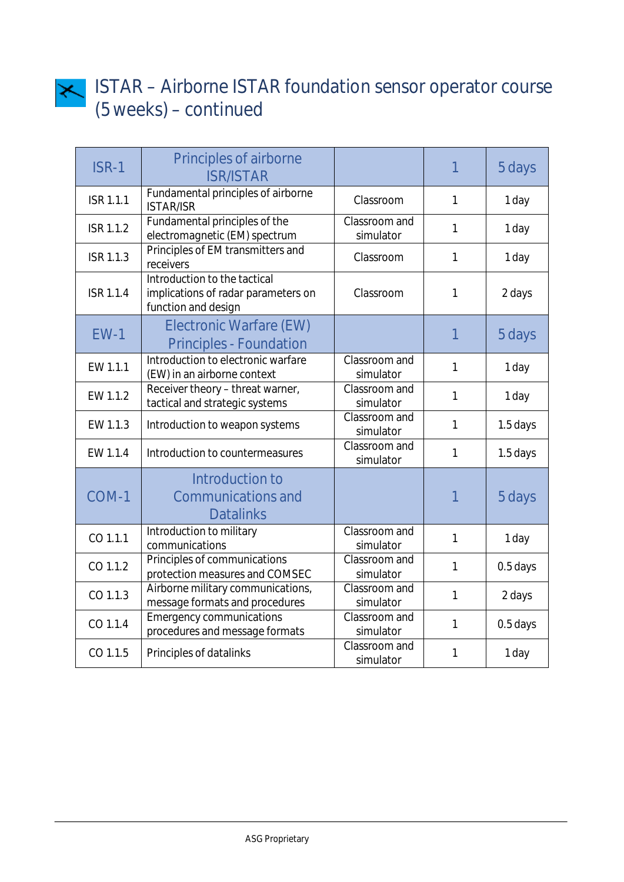

# ISTAR – Airborne ISTAR foundation sensor operator course (5 weeks) – continued

| <b>ISR-1</b>     | <b>Principles of airborne</b><br><b>ISR/ISTAR</b>                                          |                                   | 1              | 5 days   |
|------------------|--------------------------------------------------------------------------------------------|-----------------------------------|----------------|----------|
| <b>ISR 1.1.1</b> | Fundamental principles of airborne<br><b>ISTAR/ISR</b>                                     | Classroom                         | $\mathbf{1}$   | 1 day    |
| <b>ISR 1.1.2</b> | Fundamental principles of the<br>electromagnetic (EM) spectrum                             | Classroom and<br>simulator        | $\mathbf{1}$   | 1 day    |
| <b>ISR 1.1.3</b> | Principles of EM transmitters and<br>receivers                                             | Classroom                         | 1              | 1 day    |
| <b>ISR 1.1.4</b> | Introduction to the tactical<br>implications of radar parameters on<br>function and design | Classroom                         | $\mathbf{1}$   | 2 days   |
| $EW-1$           | <b>Electronic Warfare (EW)</b><br><b>Principles - Foundation</b>                           |                                   | $\overline{1}$ | 5 days   |
| EW 1.1.1         | Introduction to electronic warfare<br>(EW) in an airborne context                          | Classroom and<br>simulator        | $\mathbf{1}$   | 1 day    |
| EW 1.1.2         | Receiver theory - threat warner,<br>tactical and strategic systems                         | Classroom and<br>simulator        | $\mathbf{1}$   | 1 day    |
| EW 1.1.3         | Introduction to weapon systems                                                             | Classroom and<br>simulator        | 1              | 1.5 days |
| EW 1.1.4         | Introduction to countermeasures                                                            | Classroom and<br>simulator        | $\mathbf{1}$   | 1.5 days |
| COM-1            | Introduction to<br><b>Communications and</b><br><b>Datalinks</b>                           |                                   | 1              | 5 days   |
| CO 1.1.1         | Introduction to military<br>communications                                                 | Classroom and<br>simulator        | $\mathbf{1}$   | 1 day    |
| CO 1.1.2         | Principles of communications<br>protection measures and COMSEC                             | Classroom and<br>simulator        | $\mathbf{1}$   | 0.5 days |
| CO 1.1.3         | Airborne military communications,<br>message formats and procedures                        | Classroom and<br>simulator        | $\mathbf{1}$   | 2 days   |
| CO 1.1.4         | <b>Emergency communications</b><br>procedures and message formats                          | Classroom and<br>simulator        | $\mathbf{1}$   | 0.5 days |
| CO 1.1.5         | Principles of datalinks                                                                    | <b>Classroom</b> and<br>simulator | $\mathbf{1}$   | 1 day    |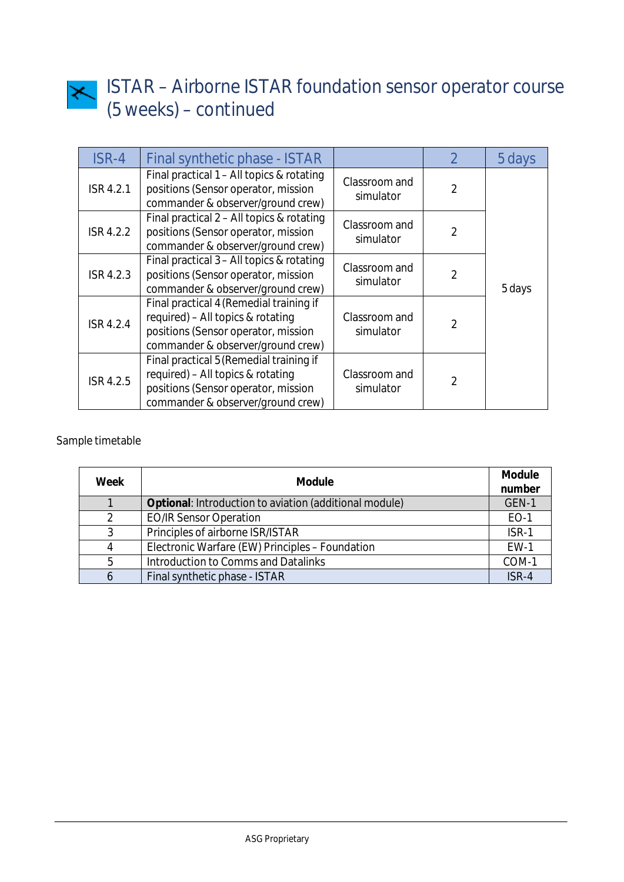

# ISTAR – Airborne ISTAR foundation sensor operator course (5 weeks) – continued

| ISR-4            | Final synthetic phase - ISTAR                                                                                                                            |                            | $\mathfrak{D}$ | 5 days |
|------------------|----------------------------------------------------------------------------------------------------------------------------------------------------------|----------------------------|----------------|--------|
| <b>ISR 4.2.1</b> | Final practical 1 - All topics & rotating<br>positions (Sensor operator, mission<br>commander & observer/ground crew)                                    | Classroom and<br>simulator | $\overline{2}$ |        |
| <b>ISR 4.2.2</b> | Final practical 2 - All topics & rotating<br>positions (Sensor operator, mission<br>commander & observer/ground crew)                                    | Classroom and<br>simulator | $\overline{2}$ |        |
| <b>ISR 4.2.3</b> | Final practical 3 - All topics & rotating<br>positions (Sensor operator, mission<br>commander & observer/ground crew)                                    | Classroom and<br>simulator | $\overline{2}$ | 5 days |
| <b>ISR 4.2.4</b> | Final practical 4 (Remedial training if<br>required) - All topics & rotating<br>positions (Sensor operator, mission<br>commander & observer/ground crew) | Classroom and<br>simulator | $\overline{2}$ |        |
| <b>ISR 4.2.5</b> | Final practical 5 (Remedial training if<br>required) - All topics & rotating<br>positions (Sensor operator, mission<br>commander & observer/ground crew) | Classroom and<br>simulator | $\overline{2}$ |        |

# Sample timetable

| Week | <b>Module</b>                                          | <b>Module</b><br>number |
|------|--------------------------------------------------------|-------------------------|
|      | Optional: Introduction to aviation (additional module) | GEN-1                   |
| 2    | <b>EO/IR Sensor Operation</b>                          | EO-1                    |
| 3    | Principles of airborne ISR/ISTAR                       | ISR-1                   |
| 4    | Electronic Warfare (EW) Principles - Foundation        | $EW-1$                  |
| 5    | <b>Introduction to Comms and Datalinks</b>             | COM-1                   |
| 6    | Final synthetic phase - ISTAR                          | ISR-4                   |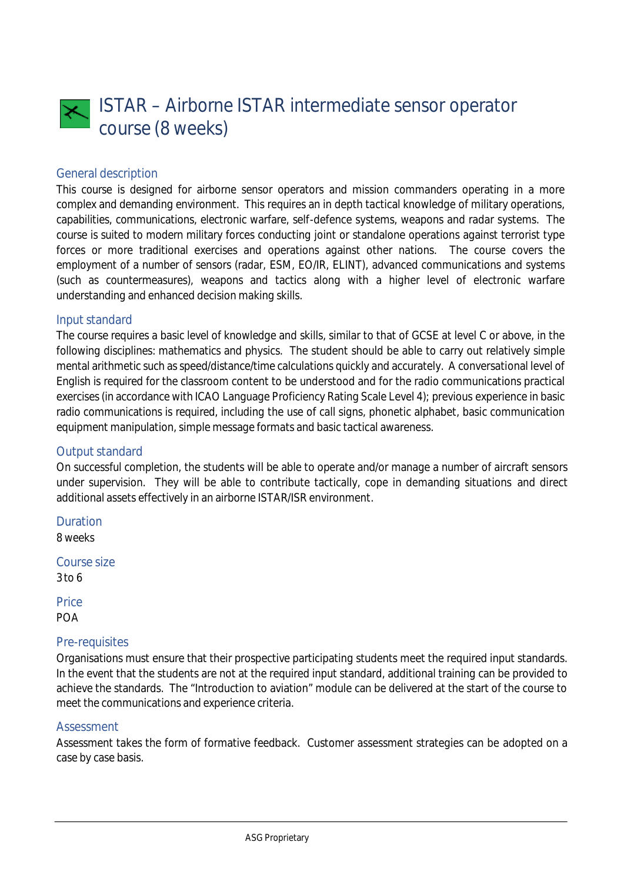

### General description

This course is designed for airborne sensor operators and mission commanders operating in a more complex and demanding environment. This requires an in depth tactical knowledge of military operations, capabilities, communications, electronic warfare, self-defence systems, weapons and radar systems. The course is suited to modern military forces conducting joint or standalone operations against terrorist type forces or more traditional exercises and operations against other nations. The course covers the employment of a number of sensors (radar, ESM, EO/IR, ELINT), advanced communications and systems (such as countermeasures), weapons and tactics along with a higher level of electronic warfare understanding and enhanced decision making skills.

#### Input standard

The course requires a basic level of knowledge and skills, similar to that of GCSE at level C or above, in the following disciplines: mathematics and physics. The student should be able to carry out relatively simple mental arithmetic such as speed/distance/time calculations quickly and accurately. A conversational level of English is required for the classroom content to be understood and for the radio communications practical exercises (in accordance with ICAO Language Proficiency Rating Scale Level 4); previous experience in basic radio communications is required, including the use of call signs, phonetic alphabet, basic communication equipment manipulation, simple message formats and basic tactical awareness.

### Output standard

On successful completion, the students will be able to operate and/or manage a number of aircraft sensors under supervision. They will be able to contribute tactically, cope in demanding situations and direct additional assets effectively in an airborne ISTAR/ISR environment.

Duration 8 weeks

Course size 3 to 6

**Price** 

POA

#### Pre-requisites

Organisations must ensure that their prospective participating students meet the required input standards. In the event that the students are not at the required input standard, additional training can be provided to achieve the standards. The "Introduction to aviation" module can be delivered at the start of the course to meet the communications and experience criteria.

#### Assessment

Assessment takes the form of formative feedback. Customer assessment strategies can be adopted on a case by case basis.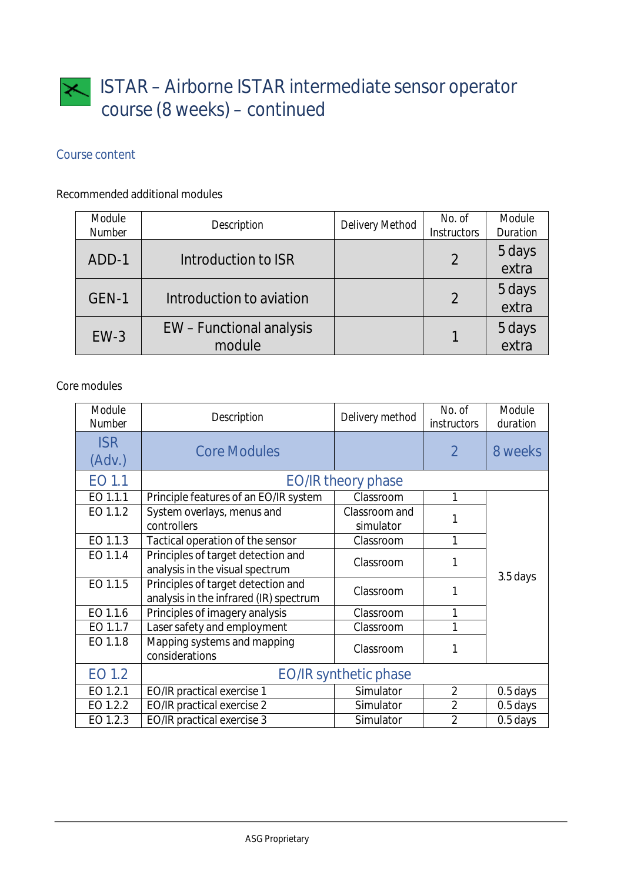# Course content

# Recommended additional modules

| Module<br><b>Number</b> | <b>Description</b>                 | <b>Delivery Method</b> | No. of<br><b>Instructors</b> | <b>Module</b><br><b>Duration</b> |
|-------------------------|------------------------------------|------------------------|------------------------------|----------------------------------|
| ADD-1                   | Introduction to ISR                |                        | $\overline{2}$               | 5 days<br>extra                  |
| GEN-1                   | Introduction to aviation           |                        | $\overline{2}$               | 5 days<br>extra                  |
| $EW-3$                  | EW - Functional analysis<br>module |                        |                              | 5 days<br>extra                  |

# Core modules

| Module<br><b>Number</b> | <b>Description</b>                                                           | Delivery method              | No. of<br><i>instructors</i> | Module<br>duration |
|-------------------------|------------------------------------------------------------------------------|------------------------------|------------------------------|--------------------|
| <b>ISR</b><br>(Adv.)    | <b>Core Modules</b>                                                          |                              | $\overline{2}$               | 8 weeks            |
| EO 1.1                  |                                                                              | <b>EO/IR theory phase</b>    |                              |                    |
| EO 1.1.1                | Principle features of an EO/IR system                                        | Classroom                    | 1                            |                    |
| EO 1.1.2                | System overlays, menus and<br>controllers                                    | Classroom and<br>simulator   |                              |                    |
| EO 1.1.3                | Tactical operation of the sensor                                             | Classroom                    | 1                            |                    |
| EO 1.1.4                | Principles of target detection and<br>analysis in the visual spectrum        | Classroom                    |                              |                    |
| EO 1.1.5                | Principles of target detection and<br>analysis in the infrared (IR) spectrum | Classroom                    |                              | 3.5 days           |
| EO 1.1.6                | Principles of imagery analysis                                               | Classroom                    |                              |                    |
| EO 1.1.7                | Laser safety and employment                                                  | Classroom                    |                              |                    |
| EO 1.1.8                | Mapping systems and mapping<br>considerations                                | Classroom                    | 1                            |                    |
| EO 1.2                  |                                                                              | <b>EO/IR synthetic phase</b> |                              |                    |
| EO 1.2.1                | <b>EO/IR practical exercise 1</b>                                            | Simulator                    | $\overline{2}$               | 0.5 days           |
| EO 1.2.2                | <b>EO/IR practical exercise 2</b>                                            | Simulator                    | $\overline{2}$               | $0.5$ days         |
| EO 1.2.3                | <b>EO/IR practical exercise 3</b>                                            | Simulator                    | $\overline{2}$               | $0.5$ days         |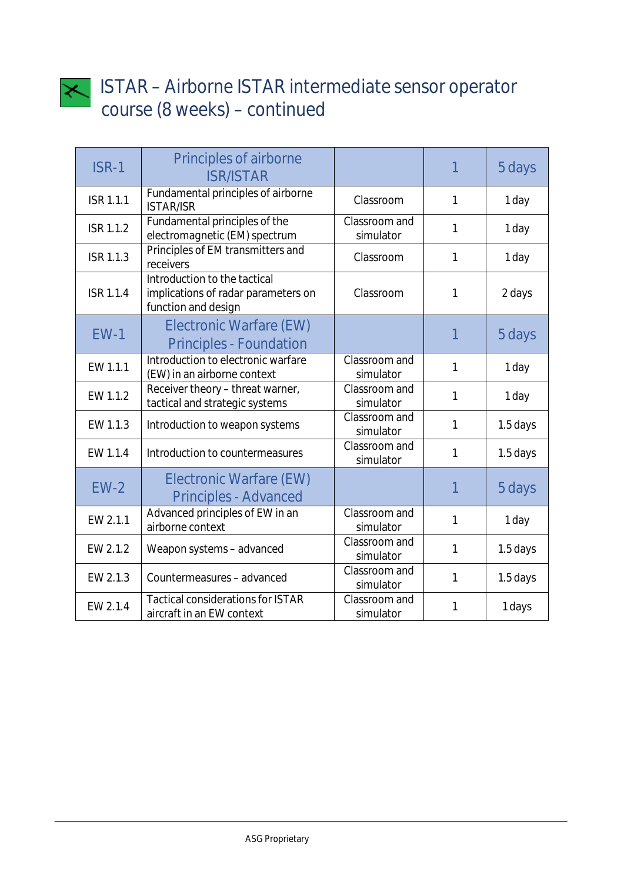

| <b>ISR-1</b>     | <b>Principles of airborne</b><br><b>ISR/ISTAR</b>                                          |                            |              | 5 days   |
|------------------|--------------------------------------------------------------------------------------------|----------------------------|--------------|----------|
| <b>ISR 1.1.1</b> | Fundamental principles of airborne<br><b>ISTAR/ISR</b>                                     | Classroom                  | 1            | 1 day    |
| <b>ISR 1.1.2</b> | Fundamental principles of the<br>electromagnetic (EM) spectrum                             | Classroom and<br>simulator | 1            | 1 day    |
| <b>ISR 1.1.3</b> | Principles of EM transmitters and<br>receivers                                             | Classroom                  | $\mathbf{1}$ | 1 day    |
| <b>ISR 1.1.4</b> | Introduction to the tactical<br>implications of radar parameters on<br>function and design | Classroom                  | 1            | 2 days   |
| <b>EW-1</b>      | <b>Electronic Warfare (EW)</b><br><b>Principles - Foundation</b>                           |                            | 1            | 5 days   |
| EW 1.1.1         | Introduction to electronic warfare<br>(EW) in an airborne context                          | Classroom and<br>simulator | $\mathbf{1}$ | 1 day    |
| EW 1.1.2         | Receiver theory - threat warner,<br>tactical and strategic systems                         | Classroom and<br>simulator | $\mathbf{1}$ | 1 day    |
| EW 1.1.3         | Introduction to weapon systems                                                             | Classroom and<br>simulator | $\mathbf{1}$ | 1.5 days |
| EW 1.1.4         | Introduction to countermeasures                                                            | Classroom and<br>simulator | $\mathbf{1}$ | 1.5 days |
| $EW-2$           | <b>Electronic Warfare (EW)</b><br><b>Principles - Advanced</b>                             |                            |              | 5 days   |
| EW 2.1.1         | Advanced principles of EW in an<br>airborne context                                        | Classroom and<br>simulator | 1            | 1 day    |
| EW 2.1.2         | Weapon systems - advanced                                                                  | Classroom and<br>simulator | $\mathbf{1}$ | 1.5 days |
| EW 2.1.3         | Countermeasures - advanced                                                                 | Classroom and<br>simulator | $\mathbf{1}$ | 1.5 days |
| EW 2.1.4         | <b>Tactical considerations for ISTAR</b><br>aircraft in an EW context                      | Classroom and<br>simulator | 1            | 1 days   |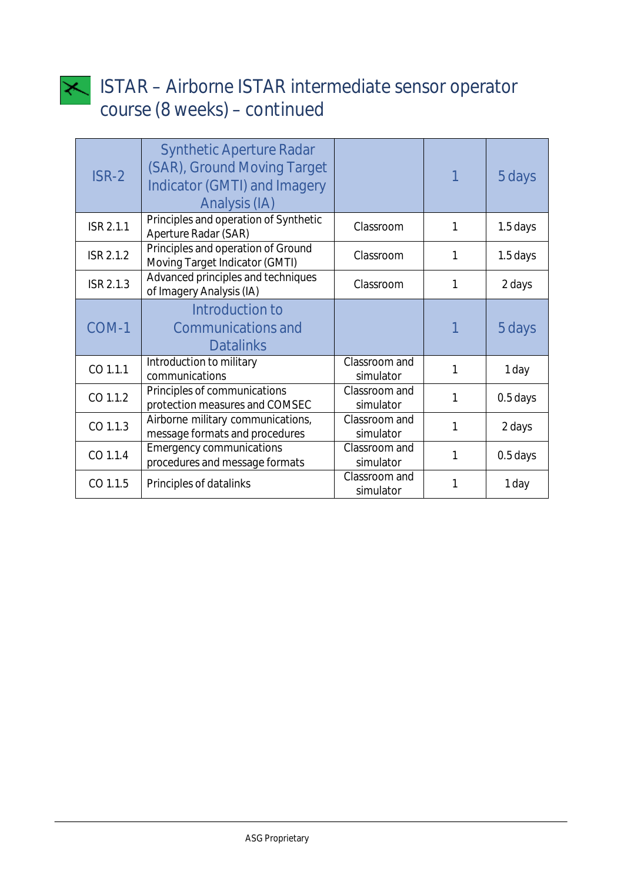

| ISR-2            | <b>Synthetic Aperture Radar</b><br>(SAR), Ground Moving Target<br><b>Indicator (GMTI) and Imagery</b><br>Analysis (IA) |                            |   | 5 days   |
|------------------|------------------------------------------------------------------------------------------------------------------------|----------------------------|---|----------|
| <b>ISR 2.1.1</b> | Principles and operation of Synthetic<br><b>Aperture Radar (SAR)</b>                                                   | Classroom                  | 1 | 1.5 days |
| <b>ISR 2.1.2</b> | Principles and operation of Ground<br>Moving Target Indicator (GMTI)                                                   | Classroom                  | 1 | 1.5 days |
| <b>ISR 2.1.3</b> | Advanced principles and techniques<br>of Imagery Analysis (IA)                                                         | Classroom                  | 1 | 2 days   |
| COM-1            | Introduction to<br><b>Communications and</b><br><b>Datalinks</b>                                                       |                            |   | 5 days   |
| CO 1.1.1         | Introduction to military<br>communications                                                                             | Classroom and<br>simulator | 1 | 1 day    |
| CO 1.1.2         | Principles of communications<br>protection measures and COMSEC                                                         | Classroom and<br>simulator | 1 | 0.5 days |
| CO 1.1.3         | Airborne military communications,<br>message formats and procedures                                                    | Classroom and<br>simulator | 1 | 2 days   |
| CO 1.1.4         | <b>Emergency communications</b><br>procedures and message formats                                                      | Classroom and<br>simulator | 1 | 0.5 days |
| CO 1.1.5         | Principles of datalinks                                                                                                | Classroom and<br>simulator |   | 1 day    |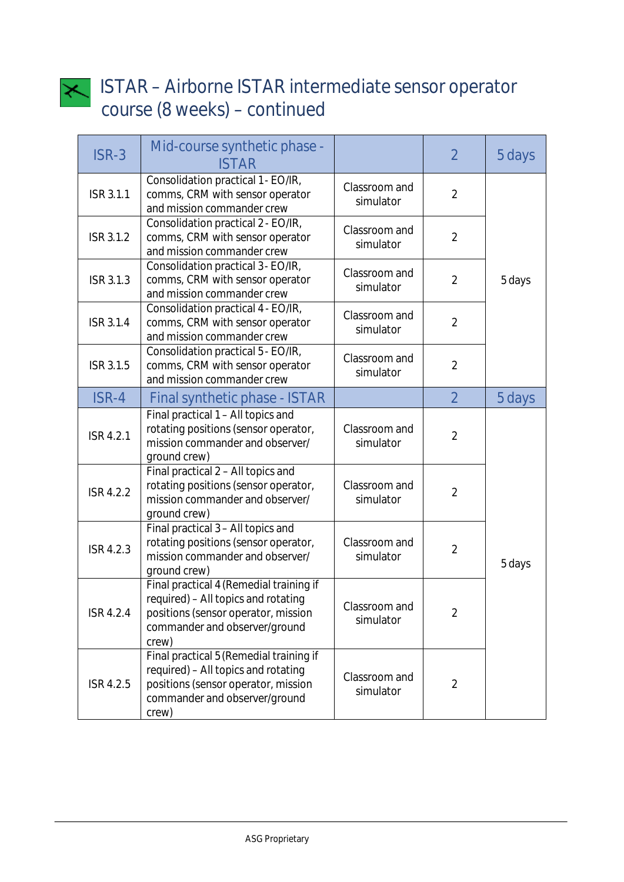

| ISR-3            | Mid-course synthetic phase -<br><b>ISTAR</b>                                                                                                                    |                            | $\overline{2}$ | 5 days |
|------------------|-----------------------------------------------------------------------------------------------------------------------------------------------------------------|----------------------------|----------------|--------|
| <b>ISR 3.1.1</b> | Consolidation practical 1 - EO/IR,<br>comms, CRM with sensor operator<br>and mission commander crew                                                             | Classroom and<br>simulator | $\overline{2}$ |        |
| <b>ISR 3.1.2</b> | Consolidation practical 2 - EO/IR,<br>comms, CRM with sensor operator<br>and mission commander crew                                                             | Classroom and<br>simulator | $\overline{2}$ |        |
| <b>ISR 3.1.3</b> | Consolidation practical 3 - EO/IR,<br>comms, CRM with sensor operator<br>and mission commander crew                                                             | Classroom and<br>simulator | $\overline{2}$ | 5 days |
| <b>ISR 3.1.4</b> | Consolidation practical 4 - EO/IR,<br>comms, CRM with sensor operator<br>and mission commander crew                                                             | Classroom and<br>simulator | $\overline{2}$ |        |
| <b>ISR 3.1.5</b> | Consolidation practical 5 - EO/IR,<br>comms, CRM with sensor operator<br>and mission commander crew                                                             | Classroom and<br>simulator | $\overline{2}$ |        |
| ISR-4            | <b>Final synthetic phase - ISTAR</b>                                                                                                                            |                            | $\overline{2}$ | 5 days |
| <b>ISR 4.2.1</b> | Final practical 1 - All topics and<br>rotating positions (sensor operator,<br>mission commander and observer/<br>ground crew)                                   | Classroom and<br>simulator | $\overline{2}$ |        |
| <b>ISR 4.2.2</b> | Final practical 2 - All topics and<br>rotating positions (sensor operator,<br>mission commander and observer/<br>ground crew)                                   | Classroom and<br>simulator | $\overline{2}$ |        |
| <b>ISR 4.2.3</b> | Final practical 3 - All topics and<br>rotating positions (sensor operator,<br>mission commander and observer/<br>ground crew)                                   | Classroom and<br>simulator | $\overline{2}$ | 5 days |
| <b>ISR 4.2.4</b> | Final practical 4 (Remedial training if<br>required) - All topics and rotating<br>positions (sensor operator, mission<br>commander and observer/ground<br>crew) | Classroom and<br>simulator | $\overline{2}$ |        |
| ISR 4.2.5        | Final practical 5 (Remedial training if<br>required) - All topics and rotating<br>positions (sensor operator, mission<br>commander and observer/ground<br>crew) | Classroom and<br>simulator | $\overline{2}$ |        |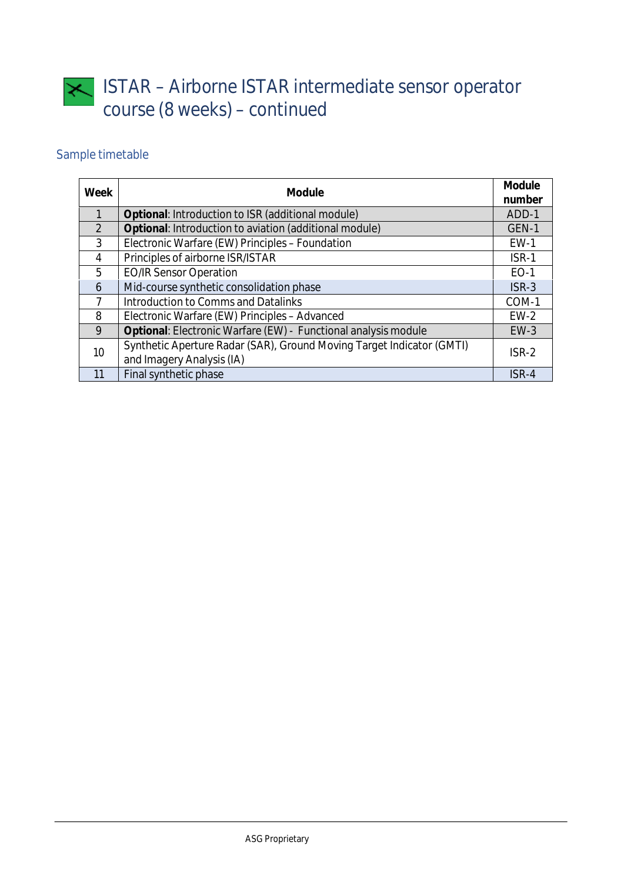# Sample timetable

| <b>Week</b>    | <b>Module</b>                                                         |             |
|----------------|-----------------------------------------------------------------------|-------------|
| $\mathbf{1}$   | Optional: Introduction to ISR (additional module)                     | ADD-1       |
| $\overline{2}$ | Optional: Introduction to aviation (additional module)                | GEN-1       |
| $\overline{3}$ | Electronic Warfare (EW) Principles - Foundation                       | $EW-1$      |
| $\overline{4}$ | Principles of airborne ISR/ISTAR                                      | ISR-1       |
| 5              | <b>EO/IR Sensor Operation</b>                                         | <b>EO-1</b> |
| 6              | Mid-course synthetic consolidation phase                              | $ISR-3$     |
| 7              | Introduction to Comms and Datalinks                                   | COM-1       |
| 8              | Electronic Warfare (EW) Principles - Advanced                         | $EW-2$      |
| 9              | Optional: Electronic Warfare (EW) - Functional analysis module        | $EW-3$      |
| 10             | Synthetic Aperture Radar (SAR), Ground Moving Target Indicator (GMTI) | $ISR-2$     |
|                | and Imagery Analysis (IA)                                             |             |
| 11             | Final synthetic phase                                                 | ISR-4       |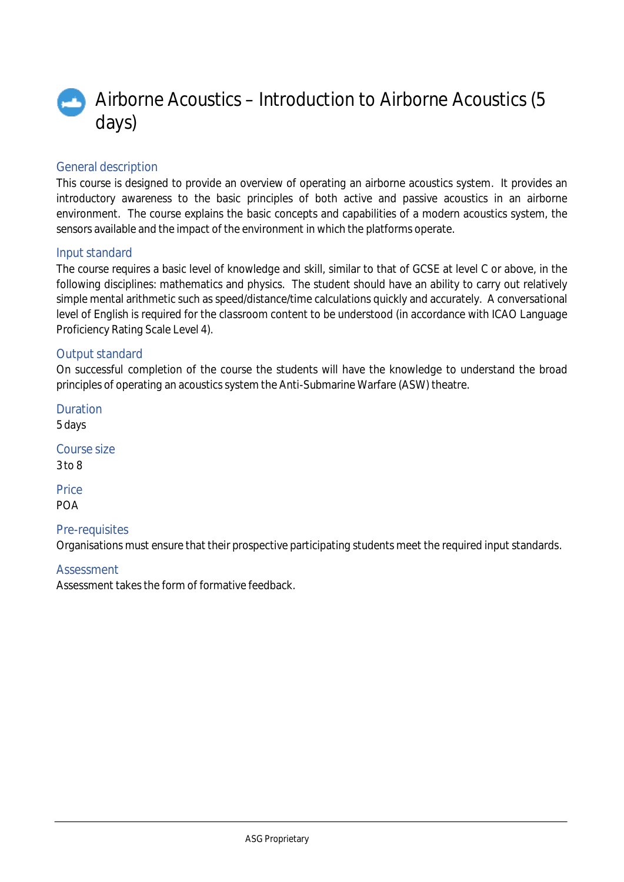

### General description

This course is designed to provide an overview of operating an airborne acoustics system. It provides an introductory awareness to the basic principles of both active and passive acoustics in an airborne environment. The course explains the basic concepts and capabilities of a modern acoustics system, the sensors available and the impact of the environment in which the platforms operate.

### Input standard

The course requires a basic level of knowledge and skill, similar to that of GCSE at level C or above, in the following disciplines: mathematics and physics. The student should have an ability to carry out relatively simple mental arithmetic such as speed/distance/time calculations quickly and accurately. A conversational level of English is required for the classroom content to be understood (in accordance with ICAO Language Proficiency Rating Scale Level 4).

### Output standard

On successful completion of the course the students will have the knowledge to understand the broad principles of operating an acoustics system the Anti-Submarine Warfare (ASW) theatre.

Duration 5 days Course size

3 to 8

Price POA

### Pre-requisites

Organisations must ensure that their prospective participating students meet the required input standards.

### **Assessment**

Assessment takes the form of formative feedback.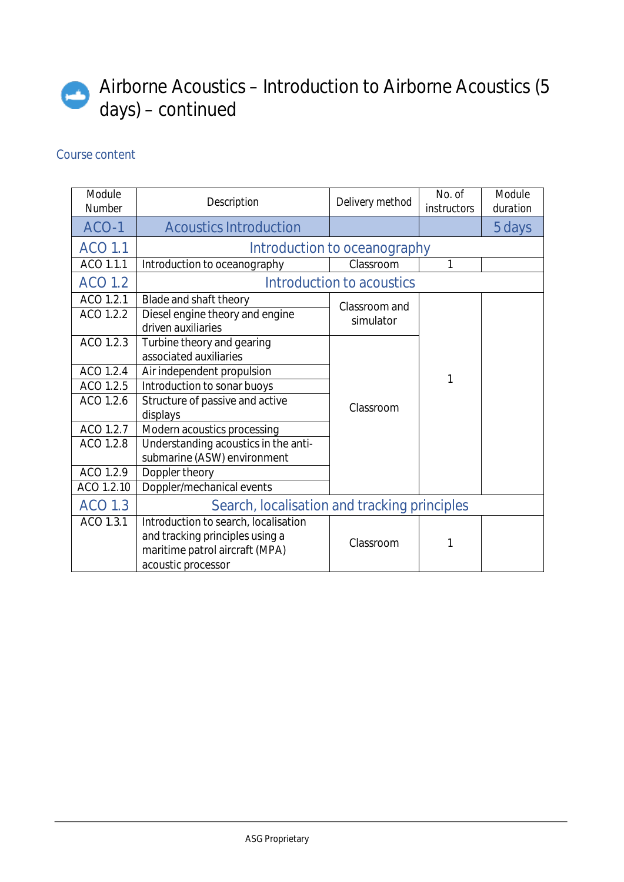# Airborne Acoustics – Introduction to Airborne Acoustics (5 days) – continued

| Module<br><b>Number</b> | <b>Description</b>                                    | Delivery method                  | No. of<br><i>instructors</i> | Module<br>duration |
|-------------------------|-------------------------------------------------------|----------------------------------|------------------------------|--------------------|
| ACO-1                   | <b>Acoustics Introduction</b>                         |                                  |                              | 5 days             |
| <b>ACO 1.1</b>          | Introduction to oceanography                          |                                  |                              |                    |
| ACO 1.1.1               | Introduction to oceanography                          | Classroom                        | 1                            |                    |
| <b>ACO 1.2</b>          |                                                       | <b>Introduction to acoustics</b> |                              |                    |
| ACO 1.2.1               | Blade and shaft theory                                | Classroom and                    |                              |                    |
| ACO 1.2.2               | Diesel engine theory and engine<br>driven auxiliaries | simulator                        |                              |                    |
| ACO 1.2.3               | Turbine theory and gearing<br>associated auxiliaries  |                                  | 1                            |                    |
| ACO 1.2.4               | Air independent propulsion                            |                                  |                              |                    |
| ACO 1.2.5               | Introduction to sonar buoys                           |                                  |                              |                    |
| ACO 1.2.6               | Structure of passive and active                       | Classroom                        |                              |                    |
|                         | displays                                              |                                  |                              |                    |
| ACO 1.2.7               | Modern acoustics processing                           |                                  |                              |                    |
| ACO 1.2.8               | Understanding acoustics in the anti-                  |                                  |                              |                    |
|                         | submarine (ASW) environment                           |                                  |                              |                    |
| ACO 1.2.9               | Doppler theory                                        |                                  |                              |                    |
| ACO 1.2.10              | Doppler/mechanical events                             |                                  |                              |                    |
| <b>ACO 1.3</b>          | Search, localisation and tracking principles          |                                  |                              |                    |
| ACO 1.3.1               | Introduction to search, localisation                  |                                  |                              |                    |
|                         | and tracking principles using a                       | Classroom                        | 1                            |                    |
|                         | maritime patrol aircraft (MPA)                        |                                  |                              |                    |
|                         | acoustic processor                                    |                                  |                              |                    |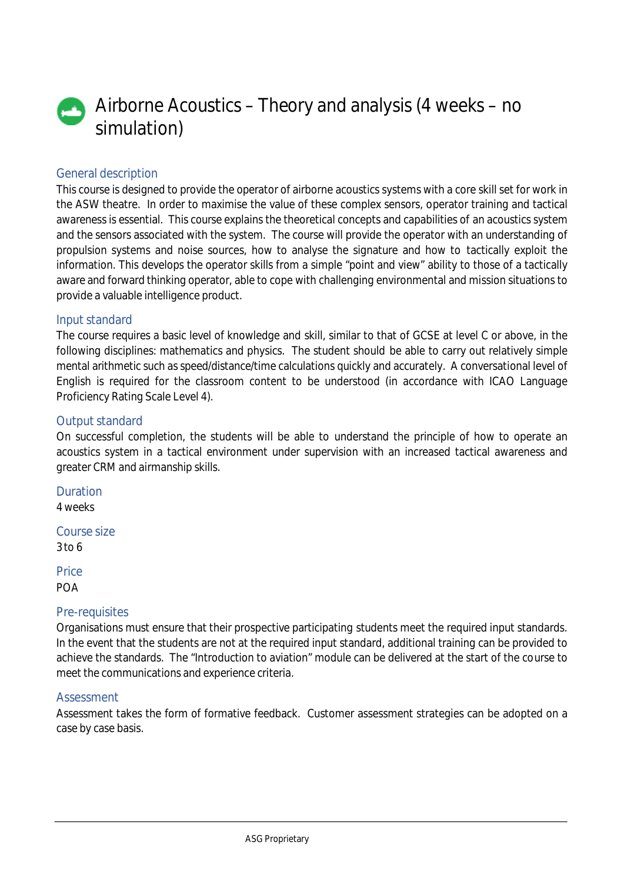# Airborne Acoustics – Theory and analysis (4 weeks – no simulation)

### General description

This course is designed to provide the operator of airborne acoustics systems with a core skill set for work in the ASW theatre. In order to maximise the value of these complex sensors, operator training and tactical awareness is essential. This course explains the theoretical concepts and capabilities of an acoustics system and the sensors associated with the system. The course will provide the operator with an understanding of propulsion systems and noise sources, how to analyse the signature and how to tactically exploit the information. This develops the operator skills from a simple "point and view" ability to those of a tactically aware and forward thinking operator, able to cope with challenging environmental and mission situations to provide a valuable intelligence product.

### Input standard

The course requires a basic level of knowledge and skill, similar to that of GCSE at level C or above, in the following disciplines: mathematics and physics. The student should be able to carry out relatively simple mental arithmetic such as speed/distance/time calculations quickly and accurately. A conversational level of English is required for the classroom content to be understood (in accordance with ICAO Language Proficiency Rating Scale Level 4).

### Output standard

On successful completion, the students will be able to understand the principle of how to operate an acoustics system in a tactical environment under supervision with an increased tactical awareness and greater CRM and airmanship skills.

Duration 4 weeks

Course size 3 to 6

**Price** POA

### Pre-requisites

Organisations must ensure that their prospective participating students meet the required input standards. In the event that the students are not at the required input standard, additional training can be provided to achieve the standards. The "Introduction to aviation" module can be delivered at the start of the course to meet the communications and experience criteria.

### **Assessment**

Assessment takes the form of formative feedback. Customer assessment strategies can be adopted on a case by case basis.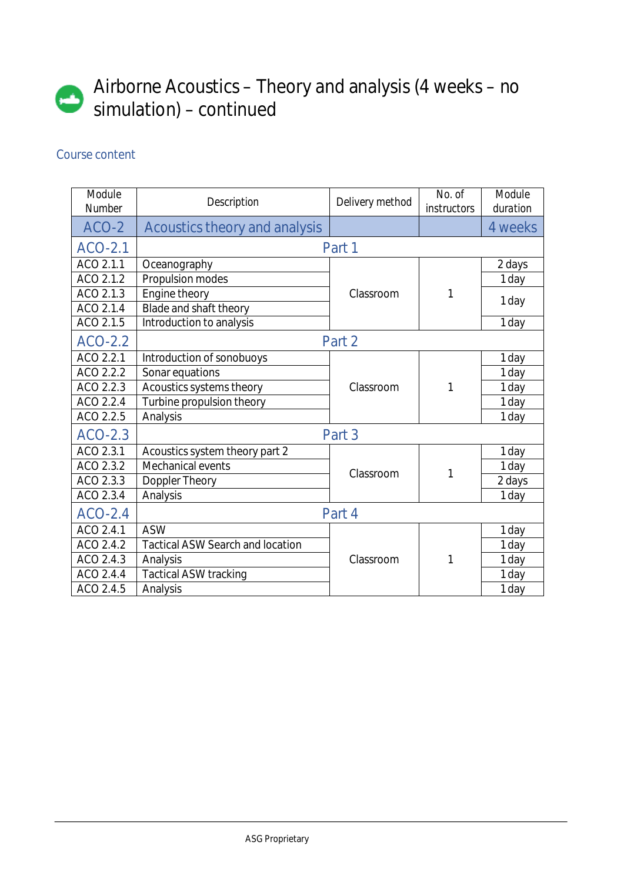

# Airborne Acoustics – Theory and analysis (4 weeks – no simulation) – continued

| Module<br><b>Number</b> | <b>Description</b>                      | Delivery method | No. of<br><i>instructors</i> | Module<br>duration |
|-------------------------|-----------------------------------------|-----------------|------------------------------|--------------------|
| ACO-2                   | <b>Acoustics theory and analysis</b>    |                 |                              | 4 weeks            |
| <b>ACO-2.1</b>          |                                         | Part 1          |                              |                    |
| ACO 2.1.1               | Oceanography                            |                 |                              | 2 days             |
| ACO 2.1.2               | Propulsion modes                        |                 |                              | 1 day              |
| ACO 2.1.3               | Engine theory                           | Classroom       | 1                            |                    |
| ACO 2.1.4               | Blade and shaft theory                  |                 |                              | 1 day              |
| ACO 2.1.5               | Introduction to analysis                |                 |                              | 1 day              |
| <b>ACO-2.2</b>          |                                         | Part 2          |                              |                    |
| ACO 2.2.1               | Introduction of sonobuoys               |                 | 1                            | 1 day              |
| ACO 2.2.2               | Sonar equations                         |                 |                              | 1 day              |
| ACO 2.2.3               | Acoustics systems theory                | Classroom       |                              | 1 day              |
| ACO 2.2.4               | Turbine propulsion theory               |                 |                              | 1 day              |
| ACO 2.2.5               | Analysis                                |                 |                              | 1 day              |
| <b>ACO-2.3</b>          |                                         | Part 3          |                              |                    |
| ACO 2.3.1               | Acoustics system theory part 2          |                 |                              | 1 day              |
| ACO 2.3.2               | Mechanical events                       | Classroom       |                              | 1 day              |
| ACO 2.3.3               | Doppler Theory                          |                 | 1                            | 2 days             |
| ACO 2.3.4               | Analysis                                |                 |                              | 1 day              |
| $ACO-2.4$               |                                         | Part 4          |                              |                    |
| ACO 2.4.1               | <b>ASW</b>                              |                 |                              | 1 day              |
| ACO 2.4.2               | <b>Tactical ASW Search and location</b> |                 |                              | 1 day              |
| ACO 2.4.3               | Analysis                                | Classroom       | 1                            | 1 day              |
| ACO 2.4.4               | <b>Tactical ASW tracking</b>            |                 |                              | 1 day              |
| ACO 2.4.5               | Analysis                                |                 |                              | 1 day              |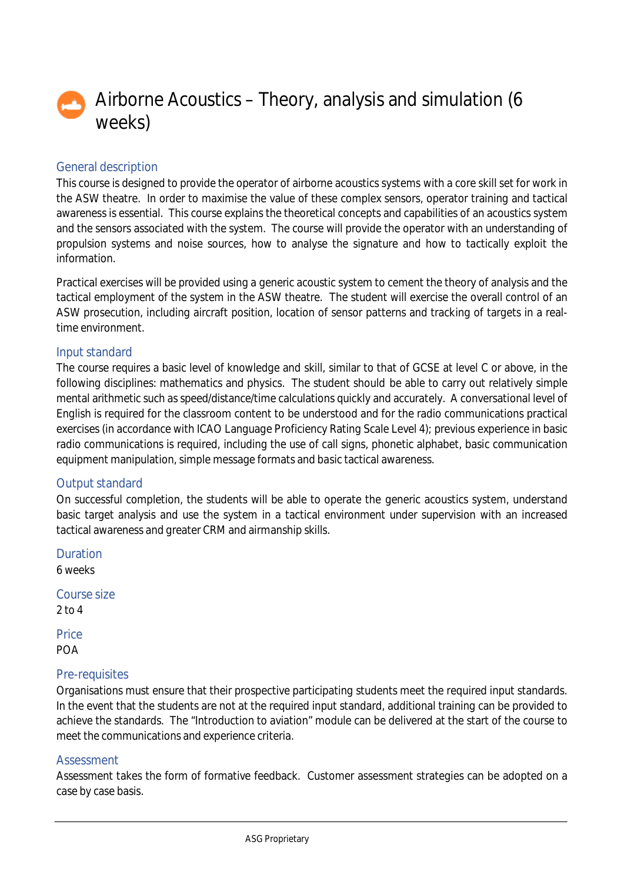

# Airborne Acoustics – Theory, analysis and simulation (6 weeks)

# General description

This course is designed to provide the operator of airborne acoustics systems with a core skill set for work in the ASW theatre. In order to maximise the value of these complex sensors, operator training and tactical awareness is essential. This course explains the theoretical concepts and capabilities of an acoustics system and the sensors associated with the system. The course will provide the operator with an understanding of propulsion systems and noise sources, how to analyse the signature and how to tactically exploit the information.

Practical exercises will be provided using a generic acoustic system to cement the theory of analysis and the tactical employment of the system in the ASW theatre. The student will exercise the overall control of an ASW prosecution, including aircraft position, location of sensor patterns and tracking of targets in a realtime environment.

# Input standard

The course requires a basic level of knowledge and skill, similar to that of GCSE at level C or above, in the following disciplines: mathematics and physics. The student should be able to carry out relatively simple mental arithmetic such as speed/distance/time calculations quickly and accurately. A conversational level of English is required for the classroom content to be understood and for the radio communications practical exercises (in accordance with ICAO Language Proficiency Rating Scale Level 4); previous experience in basic radio communications is required, including the use of call signs, phonetic alphabet, basic communication equipment manipulation, simple message formats and basic tactical awareness.

# Output standard

On successful completion, the students will be able to operate the generic acoustics system, understand basic target analysis and use the system in a tactical environment under supervision with an increased tactical awareness and greater CRM and airmanship skills.

Duration 6 weeks Course size

2 to 4

**Price** POA

# Pre-requisites

Organisations must ensure that their prospective participating students meet the required input standards. In the event that the students are not at the required input standard, additional training can be provided to achieve the standards. The "Introduction to aviation" module can be delivered at the start of the course to meet the communications and experience criteria.

### Assessment

Assessment takes the form of formative feedback. Customer assessment strategies can be adopted on a case by case basis.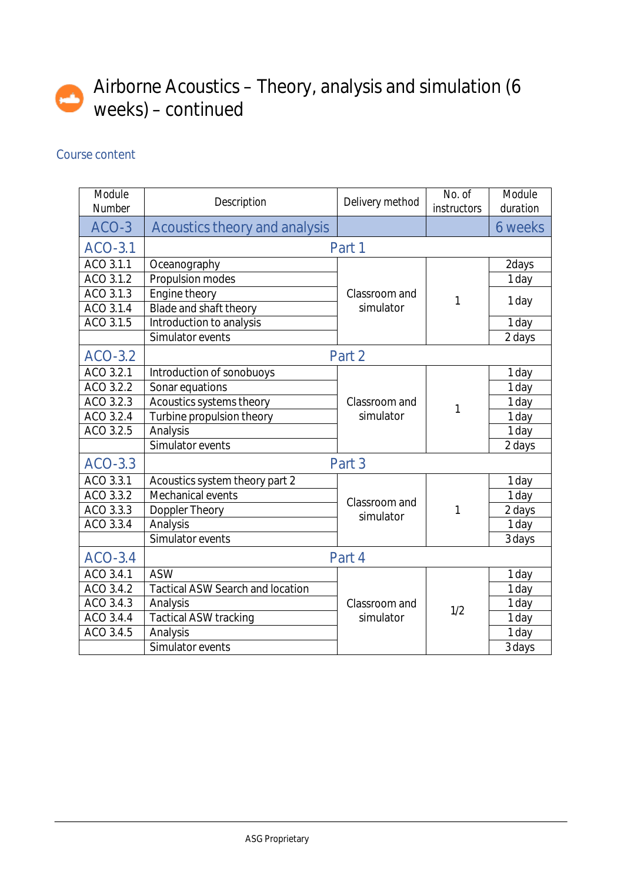# Airborne Acoustics – Theory, analysis and simulation (6 weeks) – continued

| Module<br><b>Number</b> | <b>Description</b>                      | Delivery method            | No. of<br><i>instructors</i> | Module<br>duration |
|-------------------------|-----------------------------------------|----------------------------|------------------------------|--------------------|
| ACO-3                   | <b>Acoustics theory and analysis</b>    |                            |                              | <b>6 weeks</b>     |
| <b>ACO-3.1</b>          |                                         | Part 1                     |                              |                    |
| ACO 3.1.1               | Oceanography                            |                            |                              | 2days              |
| ACO 3.1.2               | Propulsion modes                        |                            |                              | 1 day              |
| ACO 3.1.3               | Engine theory                           | Classroom and              | 1                            | 1 day              |
| ACO 3.1.4               | Blade and shaft theory                  | simulator                  |                              |                    |
| ACO 3.1.5               | Introduction to analysis                |                            |                              | 1 day              |
|                         | Simulator events                        |                            |                              | 2 days             |
| <b>ACO-3.2</b>          | Part 2                                  |                            |                              |                    |
| ACO 3.2.1               | Introduction of sonobuoys               |                            |                              | 1 day              |
| ACO 3.2.2               | Sonar equations                         |                            | 1                            | 1 day              |
| ACO 3.2.3               | Acoustics systems theory                | Classroom and              |                              | 1 day              |
| ACO 3.2.4               | Turbine propulsion theory               | simulator                  |                              | 1 day              |
| ACO 3.2.5               | Analysis                                |                            |                              | 1 day              |
|                         | Simulator events                        |                            |                              | 2 days             |
| ACO-3.3                 |                                         | Part 3                     |                              |                    |
| ACO 3.3.1               | Acoustics system theory part 2          |                            |                              | 1 day              |
| ACO 3.3.2               | <b>Mechanical events</b>                |                            |                              | 1 day              |
| ACO 3.3.3               | <b>Doppler Theory</b>                   | Classroom and<br>simulator | 1                            | 2 days             |
| ACO 3.3.4               | Analysis                                |                            |                              | 1 day              |
|                         | Simulator events                        |                            |                              | 3 days             |
| <b>ACO-3.4</b>          |                                         | Part 4                     |                              |                    |
| ACO 3.4.1               | <b>ASW</b>                              |                            |                              | 1 day              |
| ACO 3.4.2               | <b>Tactical ASW Search and location</b> |                            |                              | 1 day              |
| ACO 3.4.3               | Analysis                                | Classroom and              | 1/2                          | 1 day              |
| ACO 3.4.4               | <b>Tactical ASW tracking</b>            | simulator                  |                              | 1 day              |
| ACO 3.4.5               | Analysis                                |                            |                              | 1 day              |
|                         | Simulator events                        |                            |                              | 3 days             |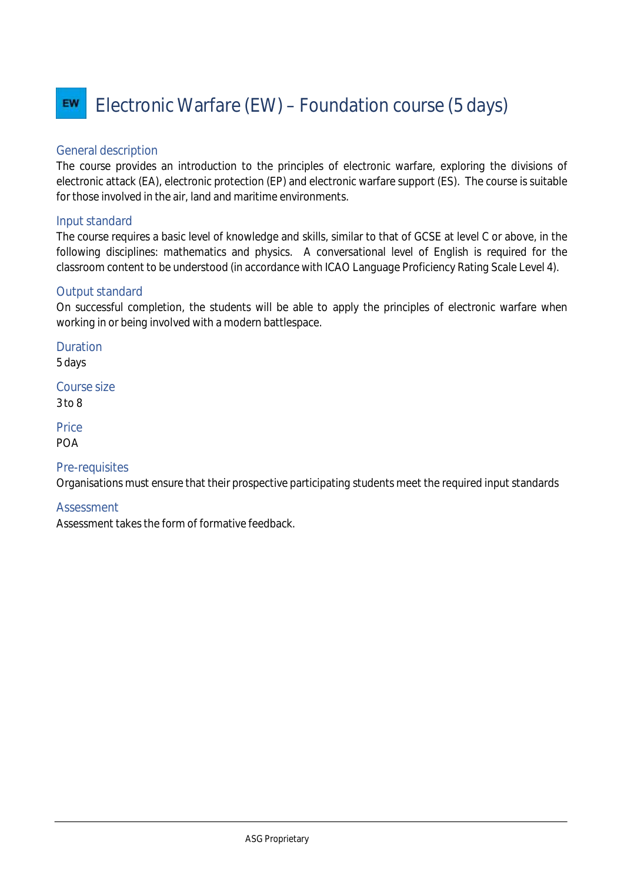#### Electronic Warfare (EW) – Foundation course (5 days) EW

# General description

The course provides an introduction to the principles of electronic warfare, exploring the divisions of electronic attack (EA), electronic protection (EP) and electronic warfare support (ES). The course is suitable for those involved in the air, land and maritime environments.

### Input standard

The course requires a basic level of knowledge and skills, similar to that of GCSE at level C or above, in the following disciplines: mathematics and physics. A conversational level of English is required for the classroom content to be understood (in accordance with ICAO Language Proficiency Rating Scale Level 4).

### Output standard

On successful completion, the students will be able to apply the principles of electronic warfare when working in or being involved with a modern battlespace.

Duration 5 days

Course size 3 to 8

**Price** POA

# Pre-requisites

Organisations must ensure that their prospective participating students meet the required input standards

### **Assessment**

Assessment takes the form of formative feedback.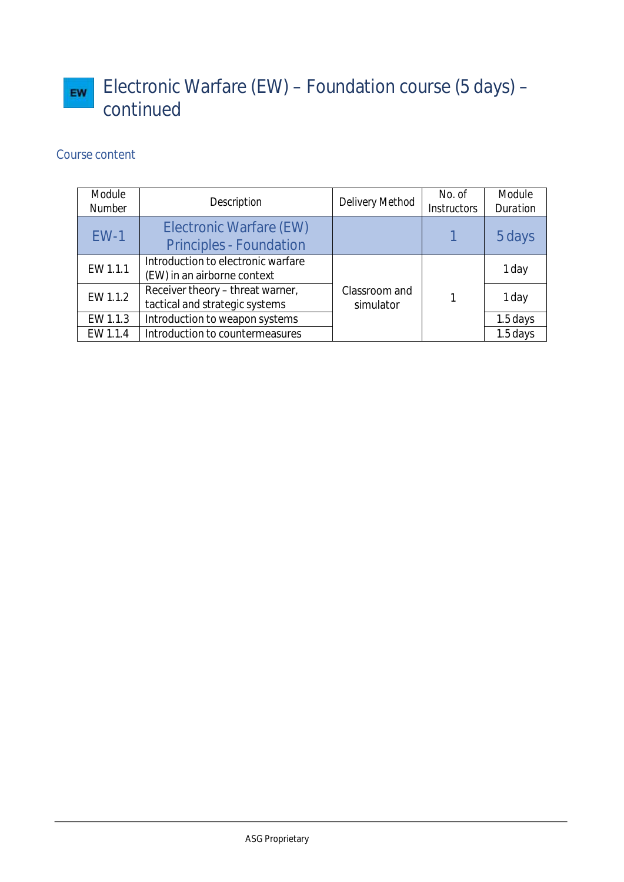# Electronic Warfare (EW) – Foundation course (5 days) – EW continued

| Module<br><b>Number</b> | <b>Description</b>                                                 | <b>Delivery Method</b>     | No. of<br><b>Instructors</b> | <b>Module</b><br><b>Duration</b> |
|-------------------------|--------------------------------------------------------------------|----------------------------|------------------------------|----------------------------------|
| $EW-1$                  | <b>Electronic Warfare (EW)</b><br><b>Principles - Foundation</b>   |                            |                              | 5 days                           |
| EW 1.1.1                | Introduction to electronic warfare<br>(EW) in an airborne context  |                            |                              | 1 day                            |
| EW 1.1.2                | Receiver theory - threat warner,<br>tactical and strategic systems | Classroom and<br>simulator |                              | 1 day                            |
| EW 1.1.3                | Introduction to weapon systems                                     |                            |                              | 1.5 days                         |
| EW 1.1.4                | Introduction to countermeasures                                    |                            |                              | $1.5$ days                       |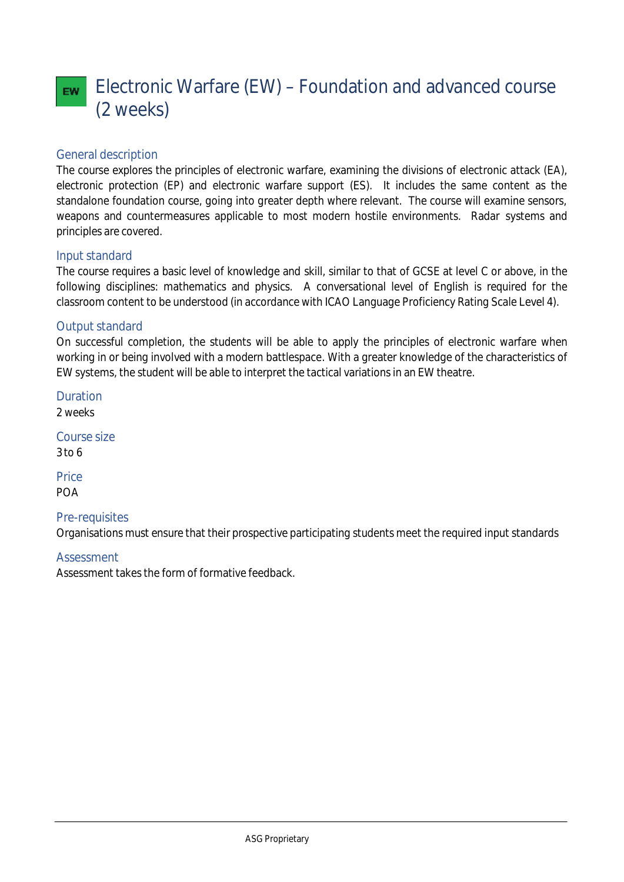# Electronic Warfare (EW) – Foundation and advanced course EW. (2 weeks)

# General description

The course explores the principles of electronic warfare, examining the divisions of electronic attack (EA), electronic protection (EP) and electronic warfare support (ES). It includes the same content as the standalone foundation course, going into greater depth where relevant. The course will examine sensors, weapons and countermeasures applicable to most modern hostile environments. Radar systems and principles are covered.

### Input standard

The course requires a basic level of knowledge and skill, similar to that of GCSE at level C or above, in the following disciplines: mathematics and physics. A conversational level of English is required for the classroom content to be understood (in accordance with ICAO Language Proficiency Rating Scale Level 4).

# Output standard

On successful completion, the students will be able to apply the principles of electronic warfare when working in or being involved with a modern battlespace. With a greater knowledge of the characteristics of EW systems, the student will be able to interpret the tactical variations in an EW theatre.

Duration 2 weeks Course size 3 to 6

**Price** POA

# Pre-requisites

Organisations must ensure that their prospective participating students meet the required input standards

### **Assessment**

Assessment takes the form of formative feedback.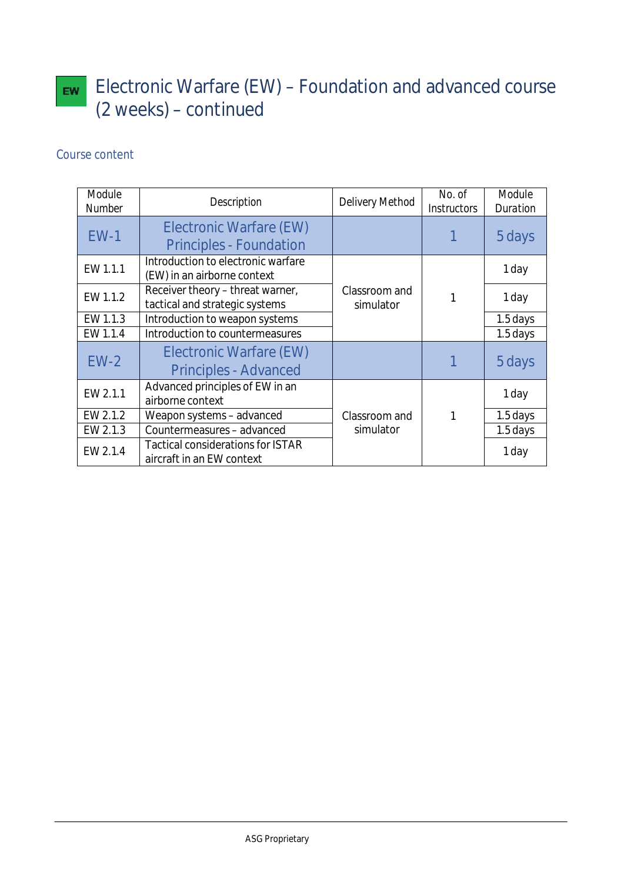# Electronic Warfare  $(EW)$  – Foundation and advanced course (2 weeks) – continued

| Module<br><b>Number</b> | <b>Description</b>                                                    | <b>Delivery Method</b>     | No. of<br><b>Instructors</b> | <b>Module</b><br><b>Duration</b> |
|-------------------------|-----------------------------------------------------------------------|----------------------------|------------------------------|----------------------------------|
| $EW-1$                  | <b>Electronic Warfare (EW)</b><br><b>Principles - Foundation</b>      |                            |                              | 5 days                           |
| EW 1.1.1                | Introduction to electronic warfare<br>(EW) in an airborne context     |                            |                              | 1 day                            |
| EW 1.1.2                | Receiver theory - threat warner,<br>tactical and strategic systems    | Classroom and<br>simulator |                              | 1 day                            |
| EW 1.1.3                | Introduction to weapon systems                                        |                            |                              | 1.5 days                         |
| EW 1.1.4                | Introduction to countermeasures                                       |                            |                              | 1.5 days                         |
| $EW-2$                  | <b>Electronic Warfare (EW)</b><br><b>Principles - Advanced</b>        |                            |                              | 5 days                           |
| EW 2.1.1                | Advanced principles of EW in an<br>airborne context                   |                            |                              | 1 day                            |
| EW 2.1.2                | Weapon systems - advanced                                             | Classroom and              |                              | 1.5 days                         |
| EW 2.1.3                | Countermeasures - advanced                                            | simulator                  |                              | 1.5 days                         |
| EW 2.1.4                | <b>Tactical considerations for ISTAR</b><br>aircraft in an EW context |                            |                              | 1 day                            |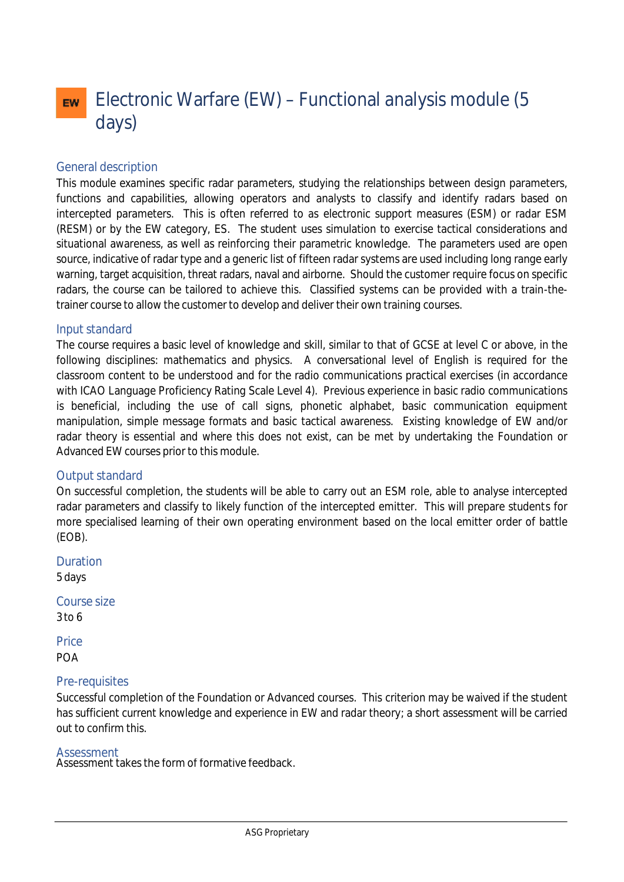# Electronic Warfare (EW) – Functional analysis module (5 **EW** days)

### General description

This module examines specific radar parameters, studying the relationships between design parameters, functions and capabilities, allowing operators and analysts to classify and identify radars based on intercepted parameters. This is often referred to as electronic support measures (ESM) or radar ESM (RESM) or by the EW category, ES. The student uses simulation to exercise tactical considerations and situational awareness, as well as reinforcing their parametric knowledge. The parameters used are open source, indicative of radar type and a generic list of fifteen radar systems are used including long range early warning, target acquisition, threat radars, naval and airborne. Should the customer require focus on specific radars, the course can be tailored to achieve this. Classified systems can be provided with a train-thetrainer course to allow the customer to develop and deliver their own training courses.

### Input standard

The course requires a basic level of knowledge and skill, similar to that of GCSE at level C or above, in the following disciplines: mathematics and physics. A conversational level of English is required for the classroom content to be understood and for the radio communications practical exercises (in accordance with ICAO Language Proficiency Rating Scale Level 4). Previous experience in basic radio communications is beneficial, including the use of call signs, phonetic alphabet, basic communication equipment manipulation, simple message formats and basic tactical awareness. Existing knowledge of EW and/or radar theory is essential and where this does not exist, can be met by undertaking the Foundation or Advanced EW courses prior to this module.

### Output standard

On successful completion, the students will be able to carry out an ESM role, able to analyse intercepted radar parameters and classify to likely function of the intercepted emitter. This will prepare students for more specialised learning of their own operating environment based on the local emitter order of battle (EOB).

Duration 5 days

Course size 3 to 6

**Price** POA

### Pre-requisites

Successful completion of the Foundation or Advanced courses. This criterion may be waived if the student has sufficient current knowledge and experience in EW and radar theory; a short assessment will be carried out to confirm this.

#### Assessment

Assessment takes the form of formative feedback.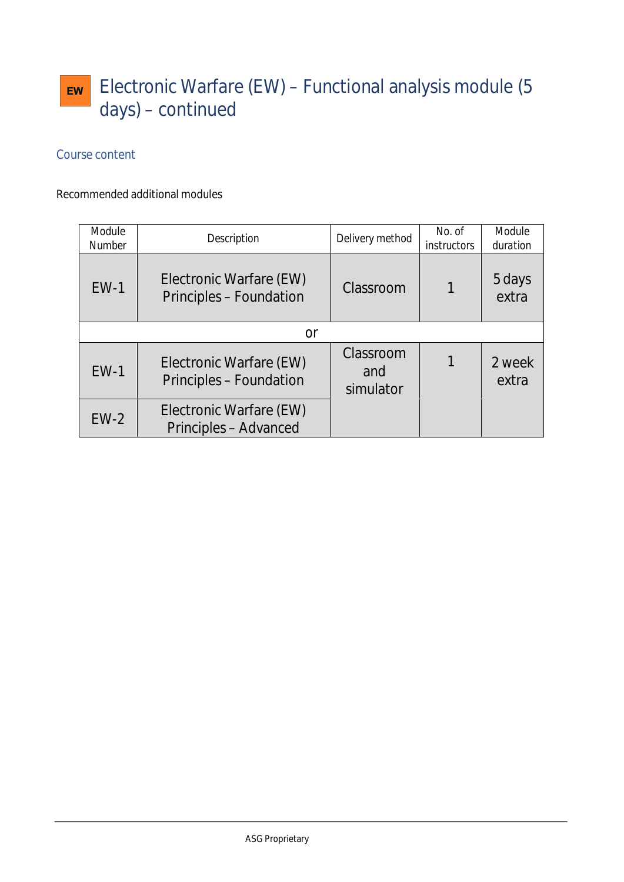# Electronic Warfare (EW) – Functional analysis module (5 EW days) – continued

# Course content

# Recommended additional modules

| Module<br><b>Number</b> | <b>Description</b>                                        | Delivery method               | No. of<br><i>instructors</i> | Module<br>duration |
|-------------------------|-----------------------------------------------------------|-------------------------------|------------------------------|--------------------|
| $EW-1$                  | Electronic Warfare (EW)<br><b>Principles - Foundation</b> | Classroom                     |                              | 5 days<br>extra    |
|                         | or                                                        |                               |                              |                    |
| $EW-1$                  | Electronic Warfare (EW)<br><b>Principles - Foundation</b> | Classroom<br>and<br>simulator |                              | 2 week<br>extra    |
| $EW-2$                  | Electronic Warfare (EW)<br><b>Principles - Advanced</b>   |                               |                              |                    |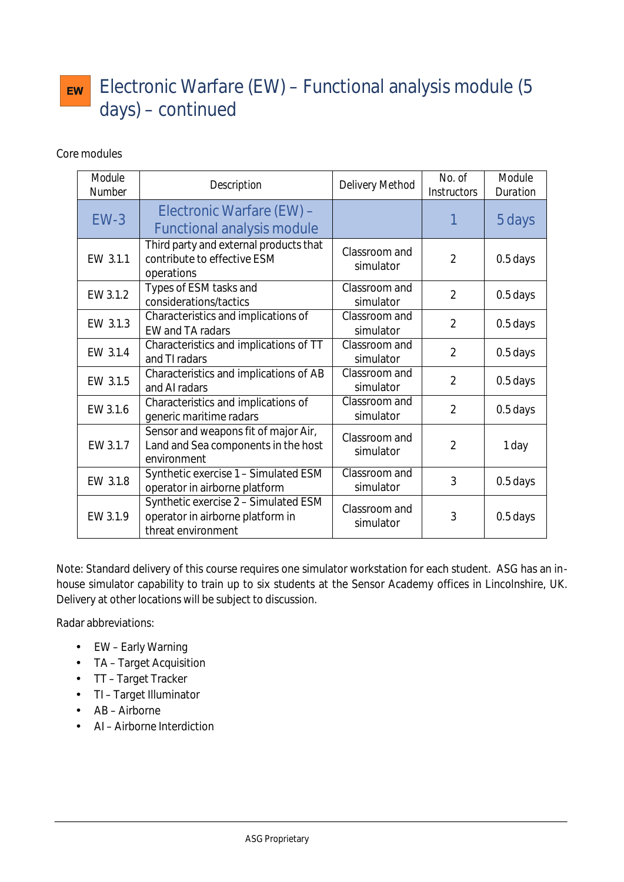# Electronic Warfare (EW) – Functional analysis module (5 **EW** days) – continued

Core modules

| Module<br><b>Number</b> | <b>Description</b>                                                                             | <b>Delivery Method</b>     | No. of<br><b>Instructors</b> | Module<br><b>Duration</b> |
|-------------------------|------------------------------------------------------------------------------------------------|----------------------------|------------------------------|---------------------------|
| $EW-3$                  | Electronic Warfare (EW) -<br><b>Functional analysis module</b>                                 |                            |                              | 5 days                    |
| EW 3.1.1                | Third party and external products that<br>contribute to effective ESM<br>operations            | Classroom and<br>simulator | $\overline{2}$               | 0.5 days                  |
| EW 3.1.2                | Types of ESM tasks and<br>considerations/tactics                                               | Classroom and<br>simulator | $\overline{2}$               | 0.5 days                  |
| EW 3.1.3                | Characteristics and implications of<br>EW and TA radars                                        | Classroom and<br>simulator | $\overline{2}$               | 0.5 days                  |
| EW 3.1.4                | Characteristics and implications of TT<br>and TI radars                                        | Classroom and<br>simulator | $\overline{2}$               | 0.5 days                  |
| EW 3.1.5                | Characteristics and implications of AB<br>and AI radars                                        | Classroom and<br>simulator | $\overline{2}$               | 0.5 days                  |
| EW 3.1.6                | Characteristics and implications of<br>generic maritime radars                                 | Classroom and<br>simulator | $\overline{2}$               | 0.5 days                  |
| EW 3.1.7                | Sensor and weapons fit of major Air,<br>Land and Sea components in the host<br>environment     | Classroom and<br>simulator | $\overline{2}$               | 1 day                     |
| EW 3.1.8                | Synthetic exercise 1 - Simulated ESM<br>operator in airborne platform                          | Classroom and<br>simulator | 3                            | 0.5 days                  |
| EW 3.1.9                | Synthetic exercise 2 - Simulated ESM<br>operator in airborne platform in<br>threat environment | Classroom and<br>simulator | 3                            | 0.5 days                  |

Note: Standard delivery of this course requires one simulator workstation for each student. ASG has an inhouse simulator capability to train up to six students at the Sensor Academy offices in Lincolnshire, UK. Delivery at other locations will be subject to discussion.

Radar abbreviations:

- EW Early Warning
- TA Target Acquisition
- TT Target Tracker
- TI Target Illuminator
- AB Airborne
- AI Airborne Interdiction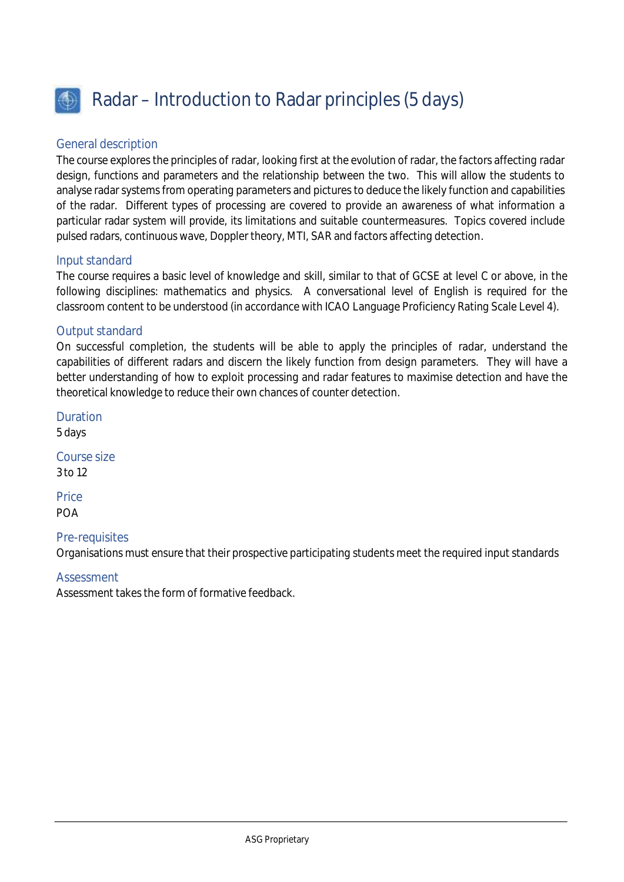

# Radar – Introduction to Radar principles (5 days)

### General description

The course explores the principles of radar, looking first at the evolution of radar, the factors affecting radar design, functions and parameters and the relationship between the two. This will allow the students to analyse radar systems from operating parameters and pictures to deduce the likely function and capabilities of the radar. Different types of processing are covered to provide an awareness of what information a particular radar system will provide, its limitations and suitable countermeasures. Topics covered include pulsed radars, continuous wave, Doppler theory, MTI, SAR and factors affecting detection.

### Input standard

The course requires a basic level of knowledge and skill, similar to that of GCSE at level C or above, in the following disciplines: mathematics and physics. A conversational level of English is required for the classroom content to be understood (in accordance with ICAO Language Proficiency Rating Scale Level 4).

### Output standard

On successful completion, the students will be able to apply the principles of radar, understand the capabilities of different radars and discern the likely function from design parameters. They will have a better understanding of how to exploit processing and radar features to maximise detection and have the theoretical knowledge to reduce their own chances of counter detection.

5 days Course size

Duration

3 to 12

**Price POA** 

### Pre-requisites

Organisations must ensure that their prospective participating students meet the required input standards

### Assessment

Assessment takes the form of formative feedback.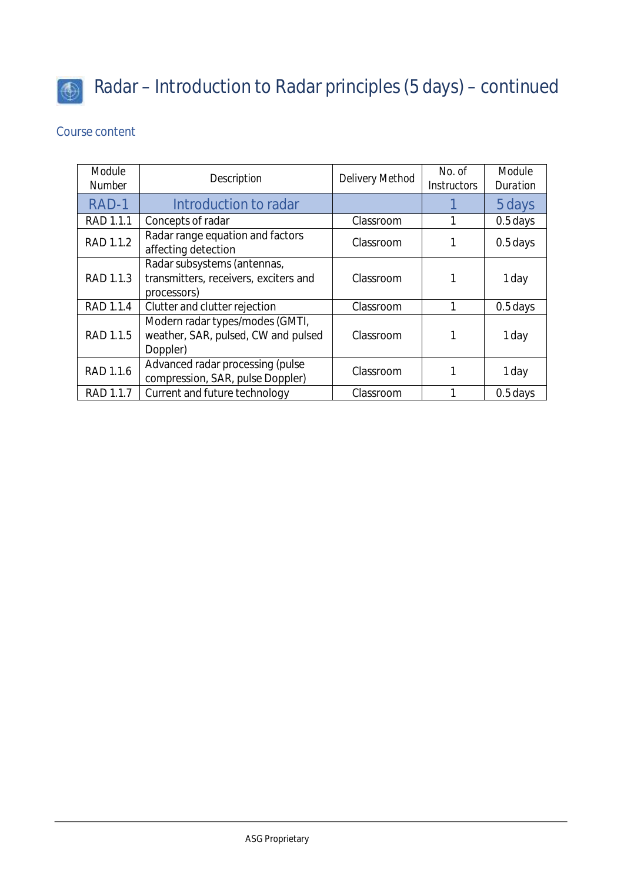

# Radar – Introduction to Radar principles (5 days) – continued

| Module<br><b>Number</b> | <b>Description</b>                                                                  | <b>Delivery Method</b> | No. of<br><b>Instructors</b> | Module<br><b>Duration</b> |
|-------------------------|-------------------------------------------------------------------------------------|------------------------|------------------------------|---------------------------|
| RAD-1                   | Introduction to radar                                                               |                        |                              | 5 days                    |
| RAD 1.1.1               | Concepts of radar                                                                   | Classroom              |                              | 0.5 days                  |
| RAD 1.1.2               | Radar range equation and factors<br>affecting detection                             | Classroom              |                              | $0.5$ days                |
| RAD 1.1.3               | Radar subsystems (antennas,<br>transmitters, receivers, exciters and<br>processors) | Classroom              |                              | 1 day                     |
| RAD 1.1.4               | Clutter and clutter rejection                                                       | Classroom              | 1                            | 0.5 days                  |
| RAD 1.1.5               | Modern radar types/modes (GMTI,<br>weather, SAR, pulsed, CW and pulsed<br>Doppler)  | Classroom              |                              | 1 day                     |
| RAD 1.1.6               | Advanced radar processing (pulse<br>compression, SAR, pulse Doppler)                | Classroom              |                              | 1 day                     |
| RAD 1.1.7               | Current and future technology                                                       | Classroom              |                              | $0.5$ days                |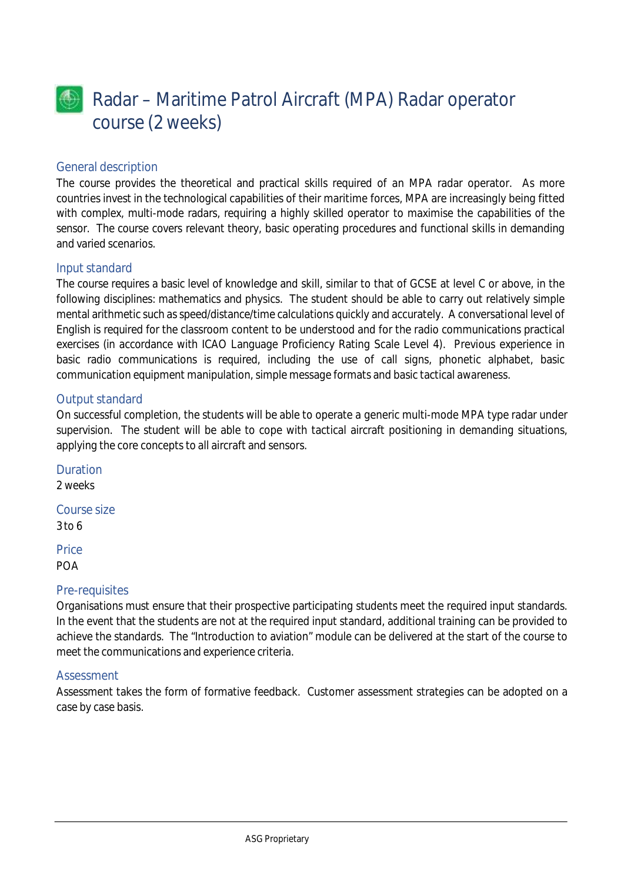

### General description

The course provides the theoretical and practical skills required of an MPA radar operator. As more countries invest in the technological capabilities of their maritime forces, MPA are increasingly being fitted with complex, multi-mode radars, requiring a highly skilled operator to maximise the capabilities of the sensor. The course covers relevant theory, basic operating procedures and functional skills in demanding and varied scenarios.

### Input standard

The course requires a basic level of knowledge and skill, similar to that of GCSE at level C or above, in the following disciplines: mathematics and physics. The student should be able to carry out relatively simple mental arithmetic such as speed/distance/time calculations quickly and accurately. A conversational level of English is required for the classroom content to be understood and for the radio communications practical exercises (in accordance with ICAO Language Proficiency Rating Scale Level 4). Previous experience in basic radio communications is required, including the use of call signs, phonetic alphabet, basic communication equipment manipulation, simple message formats and basic tactical awareness.

### Output standard

On successful completion, the students will be able to operate a generic multi-mode MPA type radar under supervision. The student will be able to cope with tactical aircraft positioning in demanding situations, applying the core concepts to all aircraft and sensors.

Duration 2 weeks

Course size 3 to 6

**Price** POA

### Pre-requisites

Organisations must ensure that their prospective participating students meet the required input standards. In the event that the students are not at the required input standard, additional training can be provided to achieve the standards. The "Introduction to aviation" module can be delivered at the start of the course to meet the communications and experience criteria.

### **Assessment**

Assessment takes the form of formative feedback. Customer assessment strategies can be adopted on a case by case basis.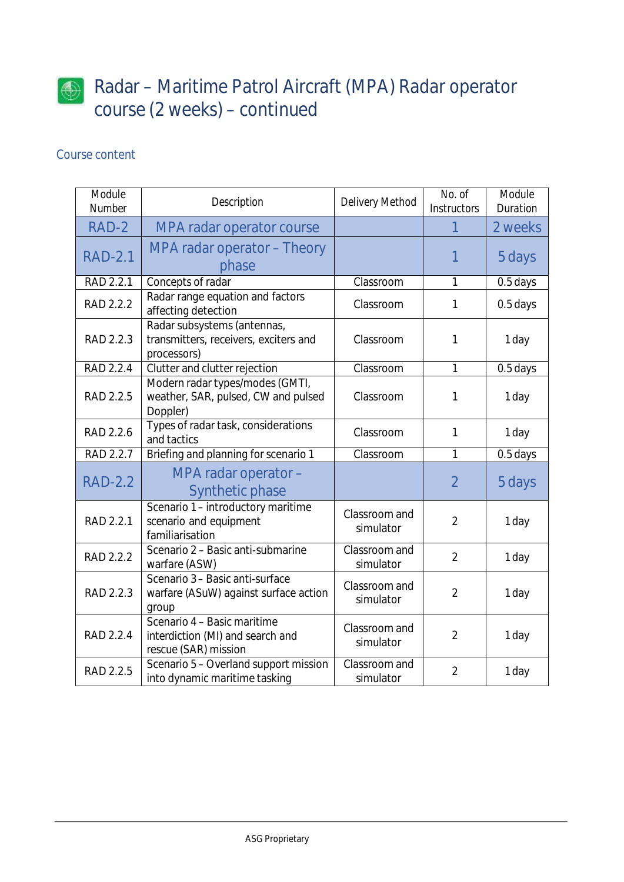

# Radar – Maritime Patrol Aircraft (MPA) Radar operator course (2 weeks) – continued

| Module<br><b>Number</b> | Description                                                                             | <b>Delivery Method</b>     | No. of<br><b>Instructors</b> | Module<br><b>Duration</b> |
|-------------------------|-----------------------------------------------------------------------------------------|----------------------------|------------------------------|---------------------------|
| RAD-2                   | <b>MPA radar operator course</b>                                                        |                            |                              | 2 weeks                   |
| <b>RAD-2.1</b>          | <b>MPA radar operator - Theory</b><br>phase                                             |                            | 1                            | 5 days                    |
| RAD 2.2.1               | Concepts of radar                                                                       | Classroom                  | 1                            | 0.5 days                  |
| RAD 2.2.2               | Radar range equation and factors<br>affecting detection                                 | Classroom                  | 1                            | 0.5 days                  |
| RAD 2.2.3               | Radar subsystems (antennas,<br>transmitters, receivers, exciters and<br>processors)     | Classroom                  | 1                            | 1 day                     |
| RAD 2.2.4               | Clutter and clutter rejection                                                           | Classroom                  | $\mathbf{1}$                 | 0.5 days                  |
| <b>RAD 2.2.5</b>        | Modern radar types/modes (GMTI,<br>weather, SAR, pulsed, CW and pulsed<br>Doppler)      | Classroom                  | 1                            | 1 day                     |
| RAD 2.2.6               | Types of radar task, considerations<br>and tactics                                      | Classroom                  | 1                            | 1 day                     |
| RAD 2.2.7               | Briefing and planning for scenario 1                                                    | Classroom                  | 1                            | 0.5 days                  |
| <b>RAD-2.2</b>          | MPA radar operator -<br><b>Synthetic phase</b>                                          |                            | $\overline{2}$               | 5 days                    |
| RAD 2.2.1               | Scenario 1 - introductory maritime<br>scenario and equipment<br>familiarisation         | Classroom and<br>simulator | $\overline{2}$               | 1 day                     |
| RAD 2.2.2               | Scenario 2 - Basic anti-submarine<br>warfare (ASW)                                      | Classroom and<br>simulator | $\overline{2}$               | 1 day                     |
| RAD 2.2.3               | Scenario 3 - Basic anti-surface<br>warfare (ASuW) against surface action<br>group       | Classroom and<br>simulator | $\overline{2}$               | 1 day                     |
| RAD 2.2.4               | Scenario 4 - Basic maritime<br>interdiction (MI) and search and<br>rescue (SAR) mission | Classroom and<br>simulator | $\overline{2}$               | 1 day                     |
| RAD 2.2.5               | Scenario 5 - Overland support mission<br>into dynamic maritime tasking                  | Classroom and<br>simulator | $\overline{2}$               | 1 day                     |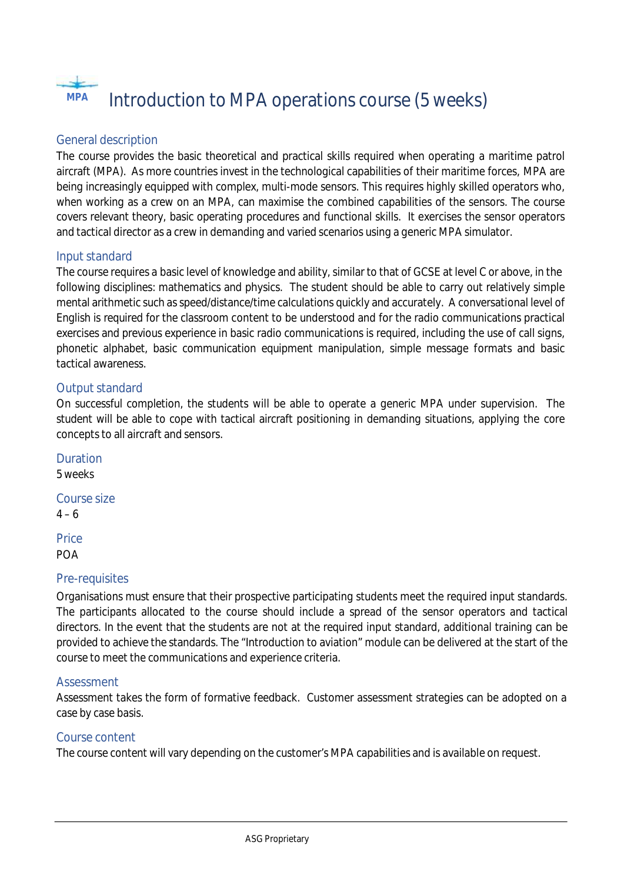

### General description

The course provides the basic theoretical and practical skills required when operating a maritime patrol aircraft (MPA). As more countries invest in the technological capabilities of their maritime forces, MPA are being increasingly equipped with complex, multi-mode sensors. This requires highly skilled operators who, when working as a crew on an MPA, can maximise the combined capabilities of the sensors. The course covers relevant theory, basic operating procedures and functional skills. It exercises the sensor operators and tactical director as a crew in demanding and varied scenarios using a generic MPA simulator.

### Input standard

The course requires a basic level of knowledge and ability, similar to that of GCSE at level C or above, in the following disciplines: mathematics and physics. The student should be able to carry out relatively simple mental arithmetic such as speed/distance/time calculations quickly and accurately. A conversational level of English is required for the classroom content to be understood and for the radio communications practical exercises and previous experience in basic radio communications is required, including the use of call signs, phonetic alphabet, basic communication equipment manipulation, simple message formats and basic tactical awareness.

### Output standard

On successful completion, the students will be able to operate a generic MPA under supervision. The student will be able to cope with tactical aircraft positioning in demanding situations, applying the core concepts to all aircraft and sensors.

Duration 5 weeks Course size  $4 - 6$ **Price** POA

### Pre-requisites

Organisations must ensure that their prospective participating students meet the required input standards. The participants allocated to the course should include a spread of the sensor operators and tactical directors. In the event that the students are not at the required input standard, additional training can be provided to achieve the standards. The "Introduction to aviation" module can be delivered at the start of the course to meet the communications and experience criteria.

### Assessment

Assessment takes the form of formative feedback. Customer assessment strategies can be adopted on a case by case basis.

### Course content

The course content will vary depending on the customer's MPA capabilities and is available on request.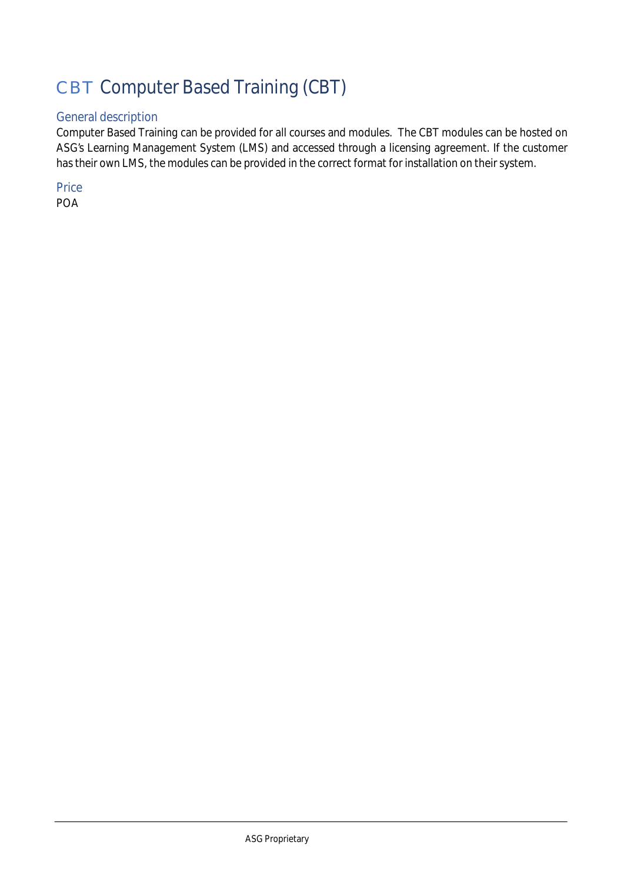# CBT Computer Based Training (CBT)

# General description

Computer Based Training can be provided for all courses and modules. The CBT modules can be hosted on ASG's Learning Management System (LMS) and accessed through a licensing agreement. If the customer has their own LMS, the modules can be provided in the correct format for installation on their system.

**Price** POA